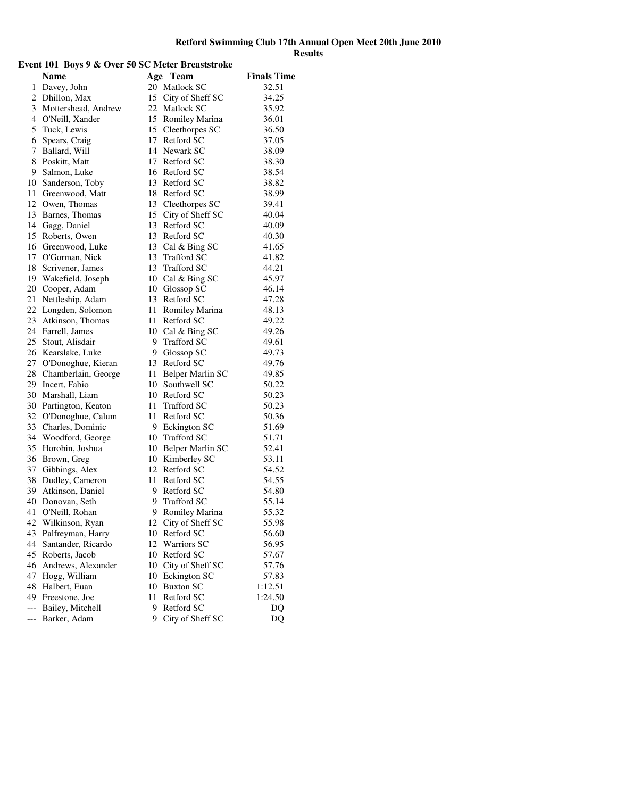| Event 101 Boys 9 & Over 50 SC Meter Breaststroke |                                         |    |                                        |                    |
|--------------------------------------------------|-----------------------------------------|----|----------------------------------------|--------------------|
|                                                  | <b>Name</b>                             |    | Age Team                               | <b>Finals Time</b> |
|                                                  | 1 Davey, John                           |    | 20 Matlock SC                          | 32.51              |
|                                                  | 2 Dhillon, Max                          |    | 15 City of Sheff SC                    | 34.25              |
|                                                  | 3 Mottershead, Andrew                   |    | 22 Matlock SC                          | 35.92              |
|                                                  | 4 O'Neill, Xander                       |    | 15 Romiley Marina                      | 36.01              |
|                                                  | 5 Tuck, Lewis                           |    | 15 Cleethorpes SC                      | 36.50              |
|                                                  | 6 Spears, Craig                         |    | 17 Retford SC                          | 37.05              |
|                                                  | 7 Ballard, Will                         |    | 14 Newark SC                           | 38.09              |
|                                                  | 8 Poskitt, Matt                         |    | 17 Retford SC                          | 38.30              |
|                                                  | 9 Salmon, Luke                          |    | 16 Retford SC                          | 38.54              |
|                                                  | 10 Sanderson, Toby                      |    | 13 Retford SC                          | 38.82              |
|                                                  | 11 Greenwood, Matt                      |    | 18 Retford SC                          | 38.99              |
|                                                  | 12 Owen, Thomas                         |    | 13 Cleethorpes SC                      | 39.41              |
|                                                  | 13 Barnes, Thomas                       |    | 15 City of Sheff SC                    | 40.04              |
|                                                  | 14 Gagg, Daniel                         |    | 13 Retford SC                          | 40.09              |
|                                                  | 15 Roberts, Owen                        |    | 13 Retford SC                          | 40.30              |
|                                                  | 16 Greenwood, Luke                      |    | 13 Cal & Bing SC                       | 41.65              |
|                                                  | 17 O'Gorman, Nick                       |    | 13 Trafford SC                         | 41.82              |
|                                                  | 18 Scrivener, James                     |    | 13 Trafford SC                         | 44.21              |
|                                                  | 19 Wakefield, Joseph                    |    | 10 Cal & Bing SC                       | 45.97              |
|                                                  | 20 Cooper, Adam                         |    | 10 Glossop SC                          | 46.14              |
|                                                  | 21 Nettleship, Adam                     |    | 13 Retford SC                          | 47.28              |
|                                                  | 22 Longden, Solomon                     |    | 11 Romiley Marina                      | 48.13              |
|                                                  | 23 Atkinson, Thomas                     |    | 11 Retford SC                          | 49.22              |
|                                                  | 24 Farrell, James                       |    | 10 Cal & Bing SC                       | 49.26              |
|                                                  | 25 Stout, Alisdair                      |    | 9 Trafford SC                          | 49.61              |
|                                                  | 26 Kearslake, Luke                      |    | 9 Glossop SC                           | 49.73              |
|                                                  | 27 O'Donoghue, Kieran                   |    | 13 Retford SC                          | 49.76              |
|                                                  | 28 Chamberlain, George                  |    | 11 Belper Marlin SC                    | 49.85              |
|                                                  | 29 Incert, Fabio                        |    | 10 Southwell SC                        | 50.22              |
|                                                  | 30 Marshall, Liam                       |    | 10 Retford SC                          | 50.23              |
|                                                  | 30 Partington, Keaton                   |    | 11 Trafford SC                         | 50.23              |
|                                                  | 32 O'Donoghue, Calum                    |    | 11 Retford SC                          | 50.36              |
|                                                  | 33 Charles, Dominic                     |    | 9 Eckington SC                         | 51.69              |
|                                                  | 34 Woodford, George                     |    | 10 Trafford SC                         | 51.71              |
|                                                  | 35 Horobin, Joshua                      |    | 10 Belper Marlin SC                    | 52.41              |
|                                                  | 36 Brown, Greg                          |    | 10 Kimberley SC                        | 53.11              |
|                                                  | 37 Gibbings, Alex                       |    | 12 Retford SC                          | 54.52              |
|                                                  | 38 Dudley, Cameron                      |    | 11 Retford SC                          | 54.55              |
|                                                  | 39 Atkinson, Daniel                     |    | 9 Retford SC                           | 54.80              |
|                                                  | 40 Donovan, Seth                        | 9  | <b>Trafford SC</b>                     | 55.14              |
| 41                                               | O'Neill, Rohan                          | 9  | Romiley Marina                         | 55.32              |
| 42                                               | Wilkinson, Ryan                         | 12 | City of Sheff SC                       | 55.98              |
| 43                                               |                                         |    | 10 Retford SC                          | 56.60              |
| 44                                               | Palfreyman, Harry<br>Santander, Ricardo |    | 12 Warriors SC                         | 56.95              |
| 45                                               | Roberts, Jacob                          |    | 10 Retford SC                          | 57.67              |
| 46                                               |                                         |    |                                        | 57.76              |
| 47                                               | Andrews, Alexander<br>Hogg, William     |    | 10 City of Sheff SC<br>10 Eckington SC | 57.83              |
| 48                                               | Halbert, Euan                           |    | 10 Buxton SC                           | 1:12.51            |
|                                                  | 49 Freestone, Joe                       | 11 | Retford SC                             | 1:24.50            |
| $---$                                            | Bailey, Mitchell                        | 9  | Retford SC                             | D <sub>O</sub>     |
|                                                  |                                         | 9  |                                        | <b>DQ</b>          |
| ---                                              | Barker, Adam                            |    | City of Sheff SC                       |                    |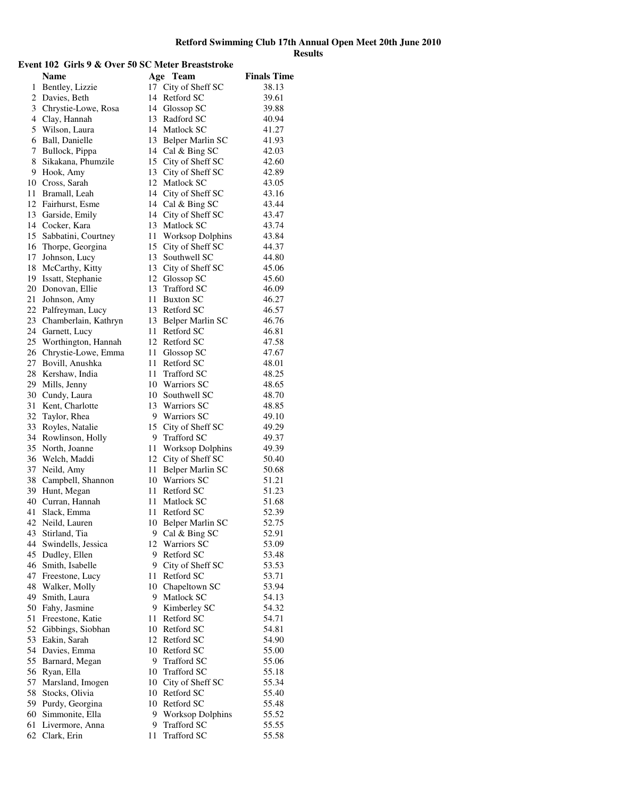#### **Event 102 Girls 9 & Over 50 SC Meter Breaststroke Name** Age Team Finals Time 1 Bentley, Lizzie 17 City of Sheff SC 38.13 2 Davies, Beth 14 Retford SC 39.61 3 Chrystie-Lowe, Rosa 14 Glossop SC 39.88 4 Clay, Hannah 13 Radford SC 40.94 5 Wilson, Laura 14 Matlock SC 41.27 6 Ball, Danielle 13 Belper Marlin SC 41.93 7 Bullock, Pippa 14 Cal & Bing SC 42.03 8 Sikakana, Phumzile 15 City of Sheff SC 42.60 9 Hook, Amy 13 City of Sheff SC 42.89 10 Cross, Sarah 12 Matlock SC 43.05 11 Bramall, Leah 14 City of Sheff SC 43.16 12 Fairhurst, Esme 14 Cal & Bing SC 43.44 13 Garside, Emily 14 City of Sheff SC 43.47 14 Cocker, Kara 13 Matlock SC 43.74 15 Sabbatini, Courtney 11 Worksop Dolphins 43.84 16 Thorpe, Georgina 15 City of Sheff SC 44.37 17 Johnson, Lucy 13 Southwell SC 44.80 18 McCarthy, Kitty 13 City of Sheff SC 45.06<br>19 Issatt, Stephanie 12 Glossop SC 45.60 19 Issatt, Stephanie 12 Glossop SC 45.60<br>
20 Donovan, Ellie 13 Trafford SC 46.09 20 Donovan, Ellie 13 Trafford SC 46.09<br>
21 Johnson, Amy 11 Buxton SC 46.27 21 Johnson, Amy 11 Buxton SC 46.27 22 Palfreyman, Lucy 13 Retford SC 46.57 23 Chamberlain, Kathryn 13 Belper Marlin SC 46.76 24 Garnett, Lucy 11 Retford SC 46.81 25 Worthington, Hannah 12 Retford SC 47.58 26 Chrystie-Lowe, Emma 11 Glossop SC 47.67 27 Bovill, Anushka 11 Retford SC 48.01 28 Kershaw, India 11 Trafford SC 48.25 29 Mills, Jenny 10 Warriors SC 48.65 30 Cundy, Laura 10 Southwell SC 48.70 31 Kent, Charlotte 13 Warriors SC 48.85<br>32 Taylor, Rhea 9 Warriors SC 49.10 32 Taylor, Rhea 9 Warriors SC 49.10 33 Royles, Natalie 15 City of Sheff SC 49.29<br>34 Rowlinson, Holly 9 Trafford SC 49.37 34 Rowlinson, Holly 9 Trafford SC 49.37<br>35 North, Joanne 11 Worksop Dolphins 49.39 35 North, Joanne 11 Worksop Dolphins 49.39 36 Welch, Maddi 12 City of Sheff SC 50.40 37 Neild, Amy 11 Belper Marlin SC 50.68 38 Campbell, Shannon 10 Warriors SC 51.21 39 Hunt, Megan 11 Retford SC 51.23 40 Curran, Hannah 11 Matlock SC 51.68 41 Slack, Emma 11 Retford SC 52.39 42 Neild, Lauren 10 Belper Marlin SC 52.75 43 Stirland, Tia 9 Cal & Bing SC 52.91 44 Swindells, Jessica 12 Warriors SC 53.09 45 Dudley, Ellen 9 Retford SC 53.48<br>46 Smith, Isabelle 9 City of Sheff SC 53.53 46 Smith, Isabelle 9 City of Sheff SC 53.53<br>47 Freestone, Lucy 11 Retford SC 53.71 Freestone, Lucy 11 Retford SC 53.71<br>Walker, Molly 10 Chapeltown SC 53.94 48 Walker, Molly 10 Chapeltown SC 53.94<br>49 Smith, Laura 9 Matlock SC 54.13 49 Matlock SC 54.13<br>
49 Matlock SC 54.13<br>
4.32 Shahy, Jasmine 9 Kimberley SC 54.32 50 Fahy, Jasmine 9 Kimberley SC 54.32 51 Freestone, Katie 11 Retford SC 54.71 52 Gibbings, Siobhan 10 Retford SC 54.81 53 Eakin, Sarah 12 Retford SC 54.90 54 Davies, Emma 10 Retford SC 55.00 55 Barnard, Megan 9 Trafford SC 55.06 56 Ryan, Ella 10 Trafford SC 55.18 57 Marsland, Imogen 10 City of Sheff SC 55.34 58 Stocks, Olivia 10 Retford SC 55.40 59 Purdy, Georgina 10 Retford SC 55.48 60 Simmonite, Ella 9 Worksop Dolphins 55.52<br>61 Livermore. Anna 9 Trafford SC 55.55 61 Livermore, Anna 9 Trafford SC 55.55

62 Clark, Erin 11 Trafford SC 55.58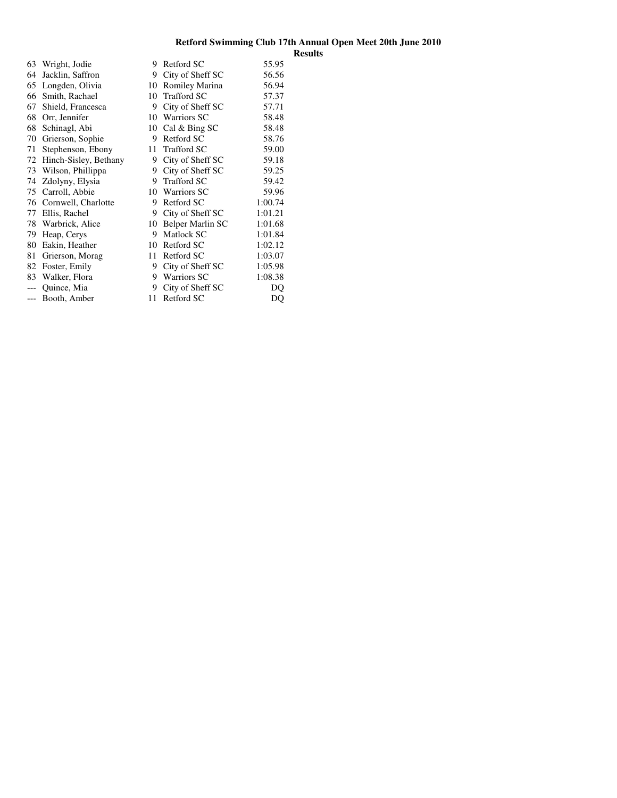| 63    | Wright, Jodie          | 9  | Retford SC         | 55.95   |
|-------|------------------------|----|--------------------|---------|
| 64    | Jacklin, Saffron       | 9  | City of Sheff SC   | 56.56   |
| 65    | Longden, Olivia        | 10 | Romiley Marina     | 56.94   |
| 66    | Smith, Rachael         | 10 | <b>Trafford SC</b> | 57.37   |
| 67    | Shield, Francesca      | 9  | City of Sheff SC   | 57.71   |
| 68    | Orr, Jennifer          | 10 | <b>Warriors SC</b> | 58.48   |
| 68    | Schinagl, Abi          | 10 | Cal & Bing SC      | 58.48   |
| 70    | Grierson, Sophie       | 9  | Retford SC         | 58.76   |
| 71    | Stephenson, Ebony      | 11 | <b>Trafford SC</b> | 59.00   |
| 72    | Hinch-Sisley, Bethany  | 9  | City of Sheff SC   | 59.18   |
| 73    | Wilson, Phillippa      | 9  | City of Sheff SC   | 59.25   |
| 74    | Zdolyny, Elysia        | 9  | <b>Trafford SC</b> | 59.42   |
| 75    | Carroll, Abbie         | 10 | <b>Warriors SC</b> | 59.96   |
|       | 76 Cornwell, Charlotte | 9  | Retford SC         | 1:00.74 |
| 77    | Ellis, Rachel          | 9  | City of Sheff SC   | 1:01.21 |
| 78    | Warbrick, Alice        | 10 | Belper Marlin SC   | 1:01.68 |
| 79    | Heap, Cerys            | 9  | Matlock SC         | 1:01.84 |
| 80    | Eakin, Heather         | 10 | Retford SC         | 1:02.12 |
| 81    | Grierson, Morag        | 11 | Retford SC         | 1:03.07 |
| 82    | Foster, Emily          | 9  | City of Sheff SC   | 1:05.98 |
| 83    | Walker, Flora          | 9  | <b>Warriors SC</b> | 1:08.38 |
|       | Quince, Mia            | 9  | City of Sheff SC   | DQ      |
| $---$ | Booth, Amber           | 11 | Retford SC         | DQ      |
|       |                        |    |                    |         |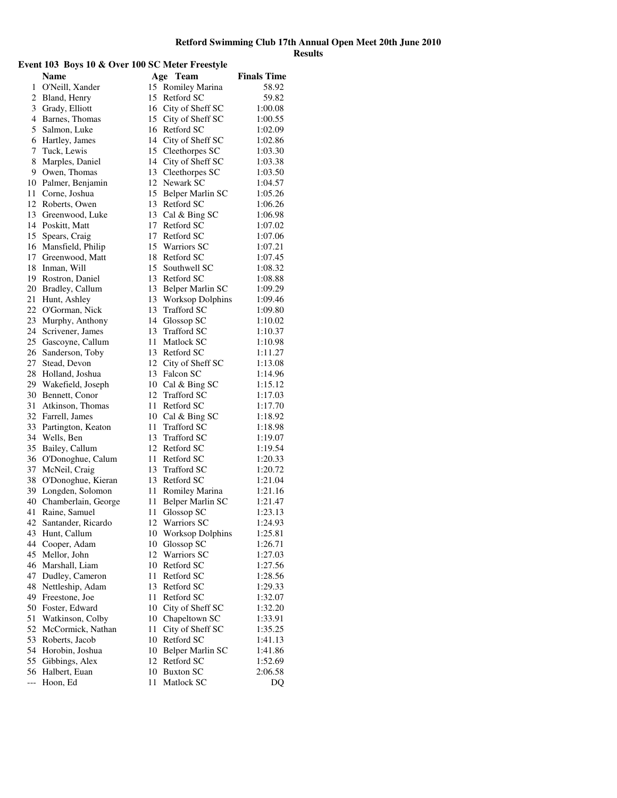# **Event 103 Boys 10 & Over 100 SC Meter Freestyle**

|                | $\sim$ $\sim$ $\sim$ $\sim$<br><b>Name</b> | Age | $\sim$ ,<br>Team    | <b>Finals Time</b> |
|----------------|--------------------------------------------|-----|---------------------|--------------------|
| 1              | O'Neill, Xander                            |     | 15 Romiley Marina   | 58.92              |
| 2              | Bland, Henry                               |     | 15 Retford SC       | 59.82              |
| 3              | Grady, Elliott                             |     | 16 City of Sheff SC | 1:00.08            |
| $\overline{4}$ | Barnes, Thomas                             |     | 15 City of Sheff SC | 1:00.55            |
| 5              | Salmon, Luke                               |     | 16 Retford SC       | 1:02.09            |
| 6              | Hartley, James                             |     | 14 City of Sheff SC | 1:02.86            |
| 7              | Tuck, Lewis                                |     | 15 Cleethorpes SC   | 1:03.30            |
| 8              | Marples, Daniel                            |     | 14 City of Sheff SC | 1:03.38            |
| 9              | Owen, Thomas                               |     | 13 Cleethorpes SC   | 1:03.50            |
| 10             | Palmer, Benjamin                           |     | 12 Newark SC        | 1:04.57            |
| 11             | Corne, Joshua                              |     | 15 Belper Marlin SC | 1:05.26            |
| 12             | Roberts, Owen                              |     | 13 Retford SC       | 1:06.26            |
| 13             | Greenwood, Luke                            |     | 13 Cal & Bing SC    | 1:06.98            |
| 14             | Poskitt, Matt                              |     | 17 Retford SC       | 1:07.02            |
| 15             | Spears, Craig                              |     | 17 Retford SC       | 1:07.06            |
| 16             | Mansfield, Philip                          |     | 15 Warriors SC      | 1:07.21            |
| 17             | Greenwood, Matt                            |     | 18 Retford SC       | 1:07.45            |
| 18             | Inman, Will                                |     | 15 Southwell SC     | 1:08.32            |
| 19             | Rostron, Daniel                            |     | 13 Retford SC       | 1:08.88            |
| 20             | Bradley, Callum                            |     | 13 Belper Marlin SC | 1:09.29            |
| 21             | Hunt, Ashley                               |     | 13 Worksop Dolphins | 1:09.46            |
| 22             | O'Gorman, Nick                             |     | 13 Trafford SC      | 1:09.80            |
| 23             | Murphy, Anthony                            |     | 14 Glossop SC       | 1:10.02            |
| 24             | Scrivener, James                           |     | 13 Trafford SC      | 1:10.37            |
| 25             | Gascoyne, Callum                           |     | 11 Matlock SC       | 1:10.98            |
| 26             | Sanderson, Toby                            |     | 13 Retford SC       | 1:11.27            |
| 27             | Stead, Devon                               |     | 12 City of Sheff SC | 1:13.08            |
| 28             | Holland, Joshua                            |     | 13 Falcon SC        | 1:14.96            |
| 29             | Wakefield, Joseph                          |     | 10 Cal & Bing SC    | 1:15.12            |
| 30             | Bennett, Conor                             |     | 12 Trafford SC      | 1:17.03            |
| 31             | Atkinson, Thomas                           |     | 11 Retford SC       | 1:17.70            |
| 32             | Farrell, James                             |     | 10 Cal & Bing SC    | 1:18.92            |
| 33             | Partington, Keaton                         |     | 11 Trafford SC      | 1:18.98            |
| 34             | Wells, Ben                                 |     | 13 Trafford SC      | 1:19.07            |
| 35             | Bailey, Callum                             |     | 12 Retford SC       | 1:19.54            |
| 36             | O'Donoghue, Calum                          |     | 11 Retford SC       | 1:20.33            |
| 37             | McNeil, Craig                              |     | 13 Trafford SC      | 1:20.72            |
| 38             | O'Donoghue, Kieran                         |     | 13 Retford SC       | 1:21.04            |
| 39             | Longden, Solomon                           | 11  | Romiley Marina      | 1:21.16            |
| 40             | Chamberlain, George                        | 11  | Belper Marlin SC    | 1:21.47            |
| 41             | Raine, Samuel                              | 11  | Glossop SC          | 1:23.13            |
| 42             | Santander, Ricardo                         |     | 12 Warriors SC      | 1:24.93            |
| 43             | Hunt, Callum                               |     | 10 Worksop Dolphins | 1:25.81            |
| 44             | Cooper, Adam                               |     | 10 Glossop SC       | 1:26.71            |
| 45             | Mellor, John                               |     | 12 Warriors SC      | 1:27.03            |
| 46             | Marshall, Liam                             |     | 10 Retford SC       | 1:27.56            |
| 47             | Dudley, Cameron                            | 11  | Retford SC          | 1:28.56            |
| 48             | Nettleship, Adam                           |     | 13 Retford SC       | 1:29.33            |
| 49             | Freestone, Joe                             | 11  | Retford SC          | 1:32.07            |
| 50             | Foster, Edward                             |     | 10 City of Sheff SC | 1:32.20            |
| 51             | Watkinson, Colby                           |     | 10 Chapeltown SC    | 1:33.91            |
| 52             | McCormick, Nathan                          | 11  | City of Sheff SC    | 1:35.25            |
| 53             | Roberts, Jacob                             |     | 10 Retford SC       | 1:41.13            |
| 54             | Horobin, Joshua                            |     | 10 Belper Marlin SC | 1:41.86            |
| 55             | Gibbings, Alex                             | 12  | Retford SC          | 1:52.69            |
| 56             | Halbert, Euan                              |     | 10 Buxton SC        | 2:06.58            |
| $---$          | Hoon, Ed                                   | 11  | Matlock SC          | DQ                 |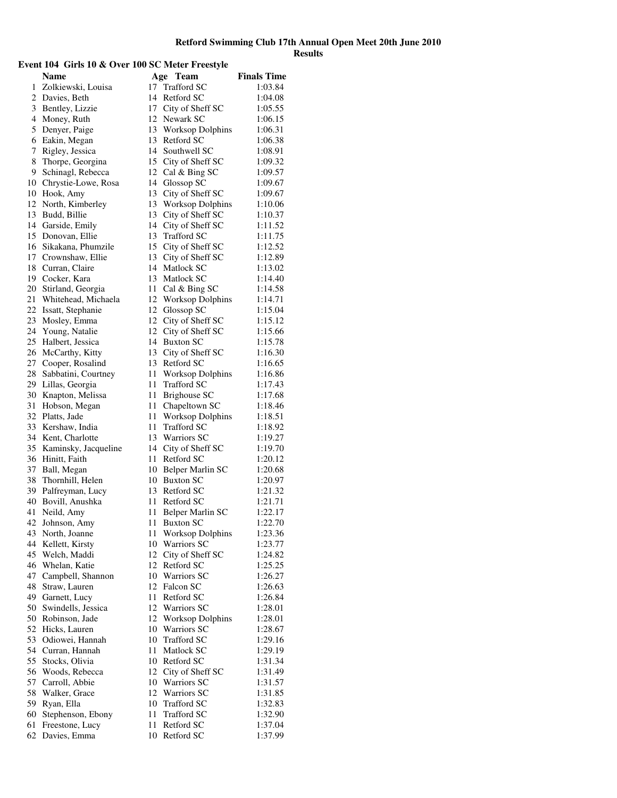# **Event 104 Girls 10 & Over 100 SC Meter Freestyle**

|    | <b>Name</b>          | Age  | Team                    | <b>Finals Time</b> |
|----|----------------------|------|-------------------------|--------------------|
| 1  | Zolkiewski, Louisa   | 17   | <b>Trafford SC</b>      | 1:03.84            |
| 2  | Davies, Beth         | 14   | Retford SC              | 1:04.08            |
| 3  | Bentley, Lizzie      |      | 17 City of Sheff SC     | 1:05.55            |
| 4  | Money, Ruth          |      | 12 Newark SC            | 1:06.15            |
| 5  | Denyer, Paige        |      | 13 Worksop Dolphins     | 1:06.31            |
| 6  |                      |      | 13 Retford SC           | 1:06.38            |
|    | Eakin, Megan         |      |                         |                    |
| 7  | Rigley, Jessica      |      | 14 Southwell SC         | 1:08.91            |
| 8  | Thorpe, Georgina     |      | 15 City of Sheff SC     | 1:09.32            |
| 9  | Schinagl, Rebecca    |      | 12 Cal & Bing SC        | 1:09.57            |
| 10 | Chrystie-Lowe, Rosa  |      | 14 Glossop SC           | 1:09.67            |
| 10 | Hook, Amy            | 13   | City of Sheff SC        | 1:09.67            |
| 12 | North, Kimberley     |      | 13 Worksop Dolphins     | 1:10.06            |
| 13 | Budd, Billie         |      | 13 City of Sheff SC     | 1:10.37            |
| 14 | Garside, Emily       |      | 14 City of Sheff SC     | 1:11.52            |
| 15 | Donovan, Ellie       | 13   | Trafford SC             | 1:11.75            |
| 16 | Sikakana, Phumzile   |      | 15 City of Sheff SC     | 1:12.52            |
| 17 | Crownshaw, Ellie     |      | 13 City of Sheff SC     | 1:12.89            |
| 18 | Curran, Claire       |      | 14 Matlock SC           | 1:13.02            |
| 19 | Cocker, Kara         |      | 13 Matlock SC           | 1:14.40            |
| 20 | Stirland, Georgia    | 11 - | Cal & Bing SC           | 1:14.58            |
| 21 | Whitehead, Michaela  |      | 12 Worksop Dolphins     | 1:14.71            |
| 22 | Issatt, Stephanie    |      | 12 Glossop SC           | 1:15.04            |
| 23 | Mosley, Emma         |      | 12 City of Sheff SC     | 1:15.12            |
| 24 | Young, Natalie       | 12   | City of Sheff SC        | 1:15.66            |
| 25 | Halbert, Jessica     |      | 14 Buxton SC            | 1:15.78            |
| 26 | McCarthy, Kitty      |      | 13 City of Sheff SC     | 1:16.30            |
| 27 | Cooper, Rosalind     |      | 13 Retford SC           | 1:16.65            |
| 28 | Sabbatini, Courtney  |      | 11 Worksop Dolphins     | 1:16.86            |
| 29 | Lillas, Georgia      | 11   | Trafford SC             | 1:17.43            |
| 30 | Knapton, Melissa     | 11   | Brighouse SC            | 1:17.68            |
| 31 | Hobson, Megan        | 11   | Chapeltown SC           | 1:18.46            |
| 32 | Platts, Jade         | 11 - | <b>Worksop Dolphins</b> | 1:18.51            |
| 33 | Kershaw, India       | 11   | Trafford SC             | 1:18.92            |
| 34 | Kent, Charlotte      |      | 13 Warriors SC          | 1:19.27            |
| 35 | Kaminsky, Jacqueline |      | 14 City of Sheff SC     | 1:19.70            |
| 36 | Hinitt, Faith        |      | 11 Retford SC           | 1:20.12            |
| 37 | Ball, Megan          |      | 10 Belper Marlin SC     | 1:20.68            |
| 38 | Thornhill, Helen     |      | 10 Buxton SC            | 1:20.97            |
| 39 | Palfreyman, Lucy     |      | 13 Retford SC           | 1:21.32            |
| 40 |                      |      | 11 Retford SC           |                    |
|    | Bovill, Anushka      |      |                         | 1:21.71            |
| 41 | Neild, Amy           | 11 - | Belper Marlin SC        | 1:22.17            |
| 42 | Johnson, Amy         |      | 11 Buxton SC            | 1:22.70            |
| 43 | North, Joanne        | 11   | <b>Worksop Dolphins</b> | 1:23.36            |
| 44 | Kellett, Kirsty      |      | 10 Warriors SC          | 1:23.77            |
| 45 | Welch, Maddi         |      | 12 City of Sheff SC     | 1:24.82            |
| 46 | Whelan, Katie        |      | 12 Retford SC           | 1:25.25            |
| 47 | Campbell, Shannon    |      | 10 Warriors SC          | 1:26.27            |
| 48 | Straw, Lauren        |      | 12 Falcon SC            | 1:26.63            |
| 49 | Garnett, Lucy        | 11-  | Retford SC              | 1:26.84            |
| 50 | Swindells, Jessica   |      | 12 Warriors SC          | 1:28.01            |
| 50 | Robinson, Jade       | 12   | <b>Worksop Dolphins</b> | 1:28.01            |
| 52 | Hicks, Lauren        |      | 10 Warriors SC          | 1:28.67            |
| 53 | Odiowei, Hannah      |      | 10 Trafford SC          | 1:29.16            |
| 54 | Curran, Hannah       | 11   | Matlock SC              | 1:29.19            |
| 55 | Stocks, Olivia       |      | 10 Retford SC           | 1:31.34            |
| 56 | Woods, Rebecca       |      | 12 City of Sheff SC     | 1:31.49            |
| 57 | Carroll, Abbie       |      | 10 Warriors SC          | 1:31.57            |
| 58 | Walker, Grace        |      | 12 Warriors SC          | 1:31.85            |
| 59 | Ryan, Ella           |      | 10 Trafford SC          | 1:32.83            |
| 60 | Stephenson, Ebony    | 11   | <b>Trafford SC</b>      | 1:32.90            |
| 61 | Freestone, Lucy      | 11   | Retford SC              | 1:37.04            |
| 62 | Davies, Emma         |      | 10 Retford SC           | 1:37.99            |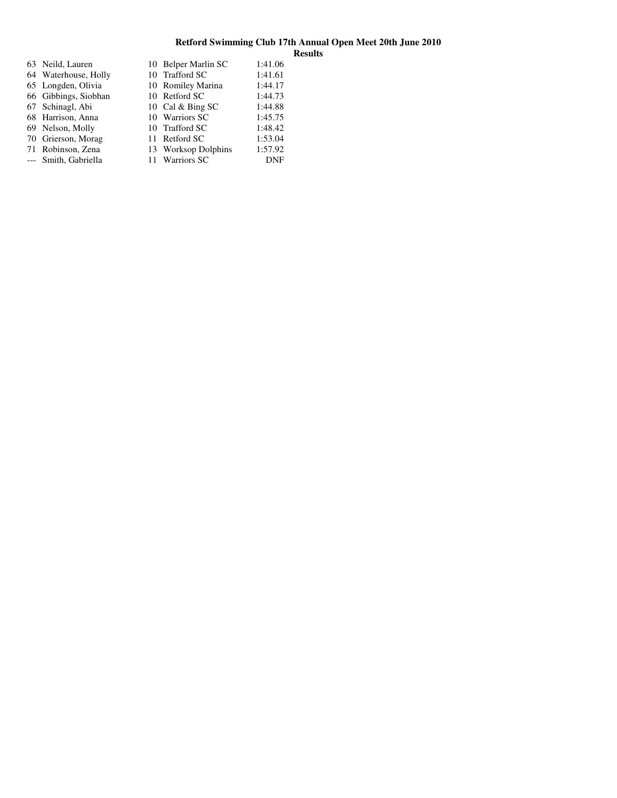| 63 Neild, Lauren     | 10 Belper Marlin SC | 1:41.06 |
|----------------------|---------------------|---------|
| 64 Waterhouse, Holly | 10 Trafford SC      | 1:41.61 |
| 65 Longden, Olivia   | 10 Romiley Marina   | 1:44.17 |
| 66 Gibbings, Siobhan | 10 Retford SC       | 1:44.73 |
| 67 Schinagl, Abi     | 10 Cal & Bing SC    | 1:44.88 |
| 68 Harrison, Anna    | 10 Warriors SC      | 1:45.75 |
| 69 Nelson, Molly     | 10 Trafford SC      | 1:48.42 |
| 70 Grierson, Morag   | 11 Retford SC       | 1:53.04 |
| 71 Robinson, Zena    | 13 Worksop Dolphins | 1:57.92 |
| --- Smith, Gabriella | 11 Warriors SC      | DNF     |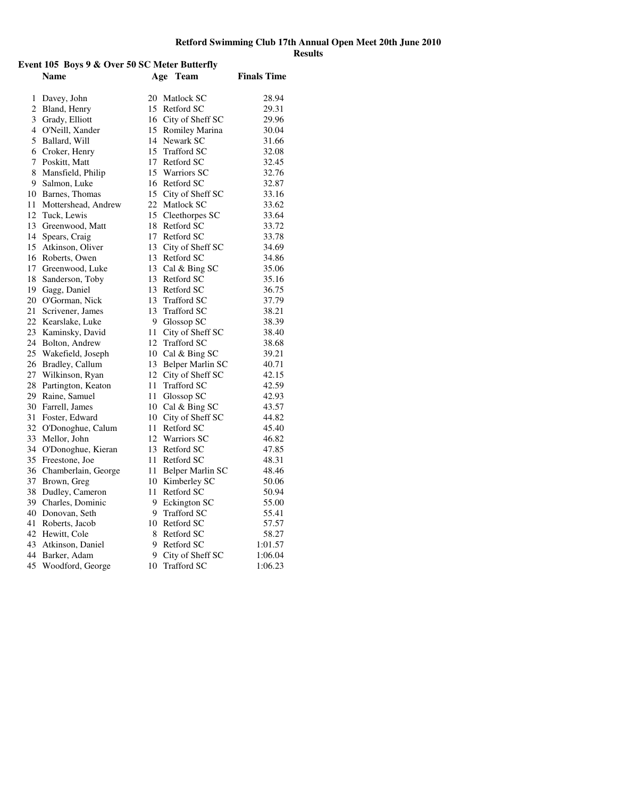# **Retford Swimming Club 17th Annual Open Meet 20th June 2010 Results Event 105 Boys 9 & Over 50 SC Meter Butterfly**

|                | Name                            | Age      | <b>Team</b>                    | <b>Finals Time</b> |
|----------------|---------------------------------|----------|--------------------------------|--------------------|
| 1              | Davey, John                     |          | 20 Matlock SC                  | 28.94              |
| $\overline{c}$ | Bland, Henry                    | 15       | Retford SC                     | 29.31              |
|                | 3 Grady, Elliott                |          | 16 City of Sheff SC            | 29.96              |
|                | 4 O'Neill, Xander               |          | 15 Romiley Marina              | 30.04              |
| 5              | Ballard, Will                   |          | 14 Newark SC                   | 31.66              |
|                | 6 Croker, Henry                 | 15       | Trafford SC                    | 32.08              |
| 7              | Poskitt, Matt                   | 17       | Retford SC                     | 32.45              |
| 8              | Mansfield, Philip               | 15       | <b>Warriors SC</b>             | 32.76              |
| 9              | Salmon, Luke                    |          | 16 Retford SC                  | 32.87              |
|                | 10 Barnes, Thomas               |          | 15 City of Sheff SC            | 33.16              |
| 11             | Mottershead, Andrew             |          | 22 Matlock SC                  | 33.62              |
| 12             | Tuck, Lewis                     | 15       | Cleethorpes SC                 | 33.64              |
| 13             | Greenwood, Matt                 |          | 18 Retford SC                  | 33.72              |
| 14             | Spears, Craig                   |          | 17 Retford SC                  | 33.78              |
|                | 15 Atkinson, Oliver             |          | 13 City of Sheff SC            | 34.69              |
| 16             | Roberts, Owen                   |          | 13 Retford SC                  | 34.86              |
| 17             | Greenwood, Luke                 |          | 13 Cal & Bing SC               | 35.06              |
| 18             | Sanderson, Toby                 |          | 13 Retford SC                  | 35.16              |
| 19             | Gagg, Daniel                    |          | 13 Retford SC                  | 36.75              |
| 20             | O'Gorman, Nick                  |          | 13 Trafford SC                 | 37.79              |
| 21             | Scrivener, James                | 13       | <b>Trafford SC</b>             | 38.21              |
| 22             | Kearslake, Luke                 |          | 9 Glossop SC                   | 38.39              |
| 23             | Kaminsky, David                 | 11-      | City of Sheff SC               | 38.40              |
| 24             | Bolton, Andrew                  | 12       | <b>Trafford SC</b>             | 38.68              |
| 25             | Wakefield, Joseph               |          | 10 Cal & Bing SC               | 39.21              |
| 26             | Bradley, Callum                 |          | 13 Belper Marlin SC            | 40.71              |
| 27             | Wilkinson, Ryan                 |          | 12 City of Sheff SC            | 42.15              |
| 28<br>29       | Partington, Keaton              | 11<br>11 | <b>Trafford SC</b>             | 42.59              |
| 30             | Raine, Samuel<br>Farrell, James |          | Glossop SC<br>10 Cal & Bing SC | 42.93<br>43.57     |
| 31             | Foster, Edward                  |          | 10 City of Sheff SC            | 44.82              |
| 32             | O'Donoghue, Calum               | 11       | Retford SC                     | 45.40              |
| 33             | Mellor, John                    | 12       | <b>Warriors SC</b>             | 46.82              |
| 34             | O'Donoghue, Kieran              |          | 13 Retford SC                  | 47.85              |
| 35             | Freestone, Joe                  | 11       | Retford SC                     | 48.31              |
| 36             | Chamberlain, George             | 11       | Belper Marlin SC               | 48.46              |
| 37             | Brown, Greg                     |          | 10 Kimberley SC                | 50.06              |
| 38             | Dudley, Cameron                 | 11       | Retford SC                     | 50.94              |
|                | 39 Charles, Dominic             | 9        | Eckington SC                   | 55.00              |
|                | 40 Donovan, Seth                | 9        | <b>Trafford SC</b>             | 55.41              |
| 41             | Roberts, Jacob                  | 10       | Retford SC                     | 57.57              |
|                | 42 Hewitt, Cole                 | 8        | Retford SC                     | 58.27              |
|                | 43 Atkinson, Daniel             | 9        | Retford SC                     | 1:01.57            |
| 44             | Barker, Adam                    | 9        | City of Sheff SC               | 1:06.04            |
| 45             | Woodford, George                | 10       | <b>Trafford SC</b>             | 1:06.23            |
|                |                                 |          |                                |                    |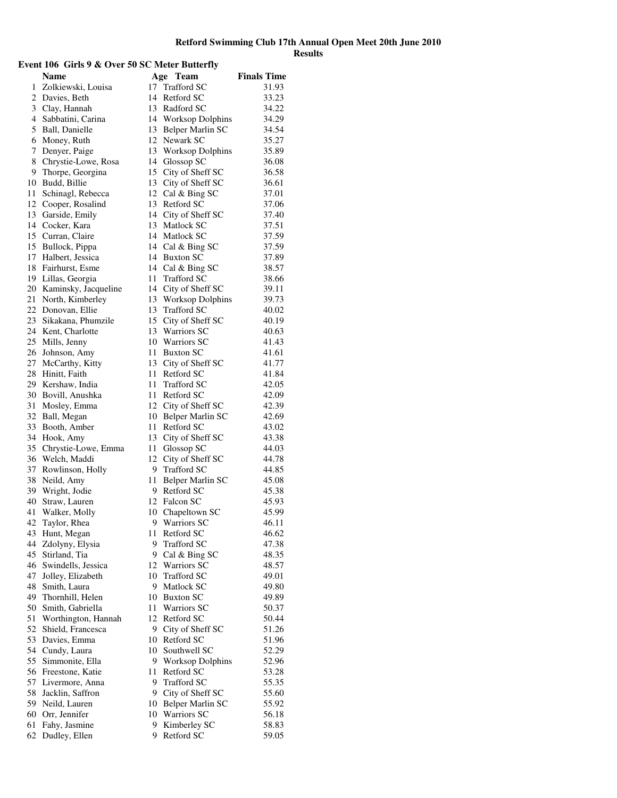# **Event 106 Girls 9 & Over 50 SC Meter Butterfly**

|              | Name                                | Age  | Team                              | <b>Finals Time</b> |
|--------------|-------------------------------------|------|-----------------------------------|--------------------|
| $\mathbf{1}$ | Zolkiewski, Louisa                  | 17   | <b>Trafford SC</b>                | 31.93              |
| 2            | Davies, Beth                        |      | 14 Retford SC                     | 33.23              |
| 3            | Clay, Hannah                        |      | 13 Radford SC                     | 34.22              |
| 4            | Sabbatini, Carina                   |      | 14 Worksop Dolphins               | 34.29              |
| 5            | Ball, Danielle                      |      | 13 Belper Marlin SC               | 34.54              |
| 6            | Money, Ruth                         |      | 12 Newark SC                      | 35.27              |
| 7            | Denyer, Paige                       |      | 13 Worksop Dolphins               | 35.89              |
| 8            | Chrystie-Lowe, Rosa                 |      | 14 Glossop SC                     | 36.08              |
| 9            | Thorpe, Georgina                    |      | 15 City of Sheff SC               | 36.58              |
| 10           | Budd, Billie                        |      | 13 City of Sheff SC               | 36.61              |
| 11           | Schinagl, Rebecca                   |      | 12 Cal & Bing SC                  | 37.01              |
| 12           | Cooper, Rosalind                    |      | 13 Retford SC                     | 37.06              |
| 13           | Garside, Emily                      |      | 14 City of Sheff SC               | 37.40              |
| 14           | Cocker, Kara                        |      | 13 Matlock SC                     | 37.51              |
| 15           | Curran, Claire                      |      | 14 Matlock SC                     | 37.59              |
| 15           | Bullock, Pippa                      |      | 14 Cal & Bing SC                  | 37.59              |
| 17           | Halbert, Jessica                    |      | 14 Buxton SC                      | 37.89              |
| 18           | Fairhurst, Esme                     |      | 14 Cal & Bing SC                  | 38.57              |
| 19           | Lillas, Georgia                     |      | 11 Trafford SC                    | 38.66              |
| 20           | Kaminsky, Jacqueline                |      | 14 City of Sheff SC               | 39.11              |
| 21           | North, Kimberley                    |      | 13 Worksop Dolphins               | 39.73              |
| 22           | Donovan, Ellie                      |      | 13 Trafford SC                    | 40.02              |
| 23           | Sikakana, Phumzile                  |      | 15 City of Sheff SC               | 40.19              |
| 24           | Kent, Charlotte                     |      | 13 Warriors SC                    | 40.63              |
| 25           | Mills, Jenny                        |      | 10 Warriors SC                    | 41.43              |
| 26           | Johnson, Amy                        |      | 11 Buxton SC                      | 41.61              |
| 27           | McCarthy, Kitty                     |      | 13 City of Sheff SC               | 41.77              |
| 28           | Hinitt, Faith                       |      | 11 Retford SC                     | 41.84              |
| 29           | Kershaw, India                      | 11   | <b>Trafford SC</b>                | 42.05              |
| 30           | Bovill, Anushka                     |      | 11 Retford SC                     | 42.09              |
| 31<br>32     | Mosley, Emma                        |      | 12 City of Sheff SC               | 42.39              |
| 33           | Ball, Megan                         | 11   | 10 Belper Marlin SC<br>Retford SC | 42.69              |
|              | Booth, Amber                        |      |                                   | 43.02              |
| 34<br>35     | Hook, Amy                           | 11 - | 13 City of Sheff SC<br>Glossop SC | 43.38<br>44.03     |
| 36           | Chrystie-Lowe, Emma<br>Welch, Maddi | 12   | City of Sheff SC                  | 44.78              |
| 37           | Rowlinson, Holly                    | 9.   | Trafford SC                       | 44.85              |
| 38           | Neild, Amy                          |      | 11 Belper Marlin SC               | 45.08              |
| 39           | Wright, Jodie                       |      | 9 Retford SC                      | 45.38              |
| 40           | Straw, Lauren                       |      | 12 Falcon SC                      | 45.93              |
| 41           | Walker, Molly                       |      | 10 Chapeltown SC                  | 45.99              |
| 42           | Taylor, Rhea                        |      | 9 Warriors SC                     | 46.11              |
| 43           | Hunt, Megan                         |      | 11 Retford SC                     | 46.62              |
| 44           | Zdolyny, Elysia                     | 9    | <b>Trafford SC</b>                | 47.38              |
| 45           | Stirland, Tia                       | 9.   | Cal & Bing SC                     | 48.35              |
| 46           | Swindells, Jessica                  |      | 12 Warriors SC                    | 48.57              |
| 47           | Jolley, Elizabeth                   |      | 10 Trafford SC                    | 49.01              |
| 48           | Smith, Laura                        | 9.   | Matlock SC                        | 49.80              |
| 49           | Thornhill, Helen                    |      | 10 Buxton SC                      | 49.89              |
| 50           | Smith, Gabriella                    |      | 11 Warriors SC                    | 50.37              |
| 51           | Worthington, Hannah                 |      | 12 Retford SC                     | 50.44              |
| 52           | Shield, Francesca                   | 9.   | City of Sheff SC                  | 51.26              |
| 53           | Davies, Emma                        |      | 10 Retford SC                     | 51.96              |
| 54           | Cundy, Laura                        |      | 10 Southwell SC                   | 52.29              |
| 55           | Simmonite, Ella                     |      | 9 Worksop Dolphins                | 52.96              |
| 56           | Freestone, Katie                    | 11   | Retford SC                        | 53.28              |
| 57           | Livermore, Anna                     | 9.   | <b>Trafford SC</b>                | 55.35              |
| 58           | Jacklin, Saffron                    | 9.   | City of Sheff SC                  | 55.60              |
| 59           | Neild, Lauren                       |      | 10 Belper Marlin SC               | 55.92              |
| 60           | Orr, Jennifer                       |      | 10 Warriors SC                    | 56.18              |
| 61           | Fahy, Jasmine                       | 9    | Kimberley SC                      | 58.83              |
| 62           | Dudley, Ellen                       | 9    | Retford SC                        | 59.05              |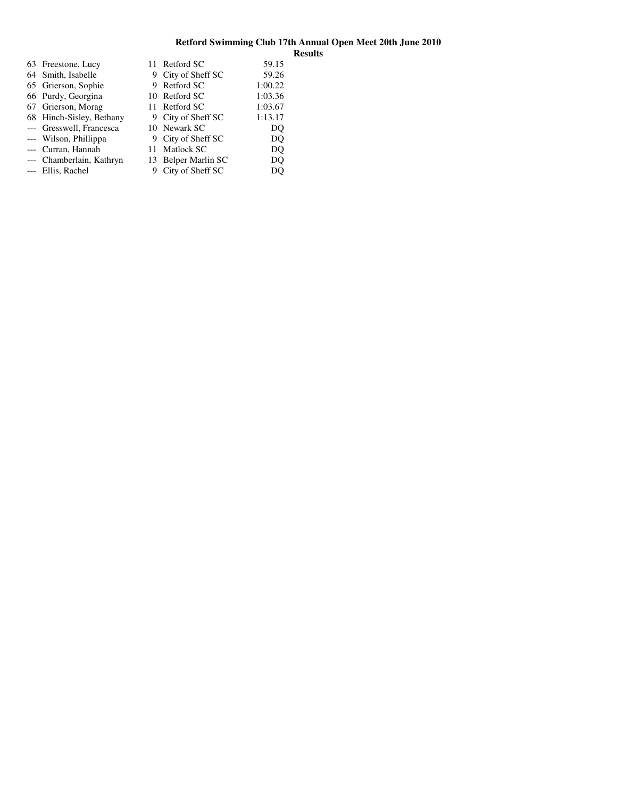|                                                                                                                                                                                                                                                                     | 59.15                                                                                                                                                                                                         |
|---------------------------------------------------------------------------------------------------------------------------------------------------------------------------------------------------------------------------------------------------------------------|---------------------------------------------------------------------------------------------------------------------------------------------------------------------------------------------------------------|
|                                                                                                                                                                                                                                                                     | 59.26                                                                                                                                                                                                         |
|                                                                                                                                                                                                                                                                     | 1:00.22                                                                                                                                                                                                       |
|                                                                                                                                                                                                                                                                     | 1:03.36                                                                                                                                                                                                       |
|                                                                                                                                                                                                                                                                     | 1:03.67                                                                                                                                                                                                       |
|                                                                                                                                                                                                                                                                     | 1:13.17                                                                                                                                                                                                       |
|                                                                                                                                                                                                                                                                     | DO                                                                                                                                                                                                            |
|                                                                                                                                                                                                                                                                     | DO                                                                                                                                                                                                            |
|                                                                                                                                                                                                                                                                     | DO.                                                                                                                                                                                                           |
|                                                                                                                                                                                                                                                                     | DQ                                                                                                                                                                                                            |
|                                                                                                                                                                                                                                                                     | DO                                                                                                                                                                                                            |
| 63 Freestone, Lucy<br>64 Smith, Isabelle<br>65 Grierson, Sophie<br>66 Purdy, Georgina<br>67 Grierson, Morag<br>68 Hinch-Sisley, Bethany<br>--- Gresswell, Francesca<br>--- Wilson, Phillippa<br>--- Curran, Hannah<br>--- Chamberlain, Kathryn<br>--- Ellis, Rachel | 11 Retford SC<br>9 City of Sheff SC<br>9 Retford SC<br>10 Retford SC<br>11 Retford SC<br>9 City of Sheff SC<br>10 Newark SC<br>9 City of Sheff SC<br>11 Matlock SC<br>13 Belper Marlin SC<br>City of Sheff SC |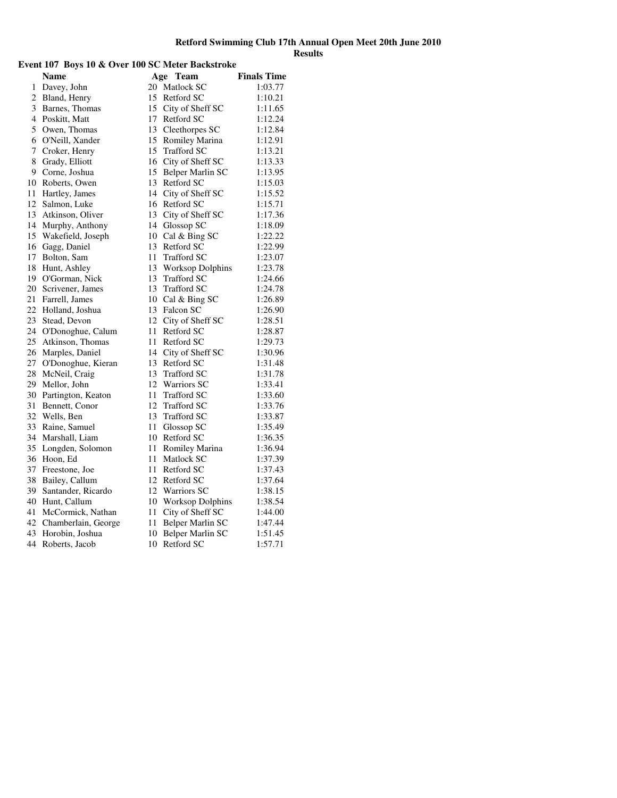# **Event 107 Boys 10 & Over 100 SC Meter Backstroke**

|                     |                     |    |                     | <b>Finals Time</b> |
|---------------------|---------------------|----|---------------------|--------------------|
|                     | Name                |    | Age Team            | 1:03.77            |
| 1<br>$\overline{c}$ | Davey, John         |    | 20 Matlock SC       |                    |
| 3                   | Bland, Henry        |    | 15 Retford SC       | 1:10.21            |
|                     | Barnes, Thomas      |    | 15 City of Sheff SC | 1:11.65            |
| $\overline{4}$      | Poskitt, Matt       |    | 17 Retford SC       | 1:12.24            |
| 5                   | Owen, Thomas        |    | 13 Cleethorpes SC   | 1:12.84            |
| 6                   | O'Neill, Xander     |    | 15 Romiley Marina   | 1:12.91            |
| 7                   | Croker, Henry       |    | 15 Trafford SC      | 1:13.21            |
| 8                   | Grady, Elliott      |    | 16 City of Sheff SC | 1:13.33            |
| 9                   | Corne, Joshua       |    | 15 Belper Marlin SC | 1:13.95            |
| 10                  | Roberts, Owen       |    | 13 Retford SC       | 1:15.03            |
| 11                  | Hartley, James      |    | 14 City of Sheff SC | 1:15.52            |
| 12                  | Salmon, Luke        |    | 16 Retford SC       | 1:15.71            |
| 13                  | Atkinson, Oliver    |    | 13 City of Sheff SC | 1:17.36            |
| 14                  | Murphy, Anthony     |    | 14 Glossop SC       | 1:18.09            |
| 15                  | Wakefield, Joseph   |    | 10 Cal & Bing SC    | 1:22.22            |
| 16                  | Gagg, Daniel        |    | 13 Retford SC       | 1:22.99            |
| 17                  | Bolton, Sam         | 11 | <b>Trafford SC</b>  | 1:23.07            |
| 18                  | Hunt, Ashley        |    | 13 Worksop Dolphins | 1:23.78            |
| 19                  | O'Gorman, Nick      |    | 13 Trafford SC      | 1:24.66            |
| 20                  | Scrivener, James    |    | 13 Trafford SC      | 1:24.78            |
| 21                  | Farrell, James      |    | 10 Cal & Bing SC    | 1:26.89            |
| 22                  | Holland, Joshua     |    | 13 Falcon SC        | 1:26.90            |
| 23                  | Stead, Devon        |    | 12 City of Sheff SC | 1:28.51            |
| 24                  | O'Donoghue, Calum   | 11 | Retford SC          | 1:28.87            |
| 25                  | Atkinson, Thomas    |    | 11 Retford SC       | 1:29.73            |
| 26                  | Marples, Daniel     |    | 14 City of Sheff SC | 1:30.96            |
| 27                  | O'Donoghue, Kieran  |    | 13 Retford SC       | 1:31.48            |
| 28                  | McNeil, Craig       |    | 13 Trafford SC      | 1:31.78            |
| 29                  | Mellor, John        | 12 | <b>Warriors SC</b>  | 1:33.41            |
| 30                  | Partington, Keaton  | 11 | <b>Trafford SC</b>  | 1:33.60            |
| 31                  | Bennett, Conor      |    | 12 Trafford SC      | 1:33.76            |
| 32                  | Wells, Ben          |    | 13 Trafford SC      | 1:33.87            |
| 33                  | Raine, Samuel       |    | 11 Glossop SC       | 1:35.49            |
| 34                  | Marshall, Liam      |    | 10 Retford SC       | 1:36.35            |
| 35                  | Longden, Solomon    | 11 | Romiley Marina      | 1:36.94            |
| 36                  | Hoon, Ed            | 11 | Matlock SC          | 1:37.39            |
| 37                  | Freestone, Joe      |    | 11 Retford SC       | 1:37.43            |
| 38                  | Bailey, Callum      |    | 12 Retford SC       | 1:37.64            |
| 39                  | Santander, Ricardo  |    | 12 Warriors SC      | 1:38.15            |
| 40                  | Hunt, Callum        |    | 10 Worksop Dolphins | 1:38.54            |
| 41                  | McCormick, Nathan   | 11 | City of Sheff SC    | 1:44.00            |
| 42                  | Chamberlain, George | 11 | Belper Marlin SC    | 1:47.44            |
| 43                  | Horobin, Joshua     | 10 | Belper Marlin SC    | 1:51.45            |
| 44                  | Roberts, Jacob      | 10 | Retford SC          | 1:57.71            |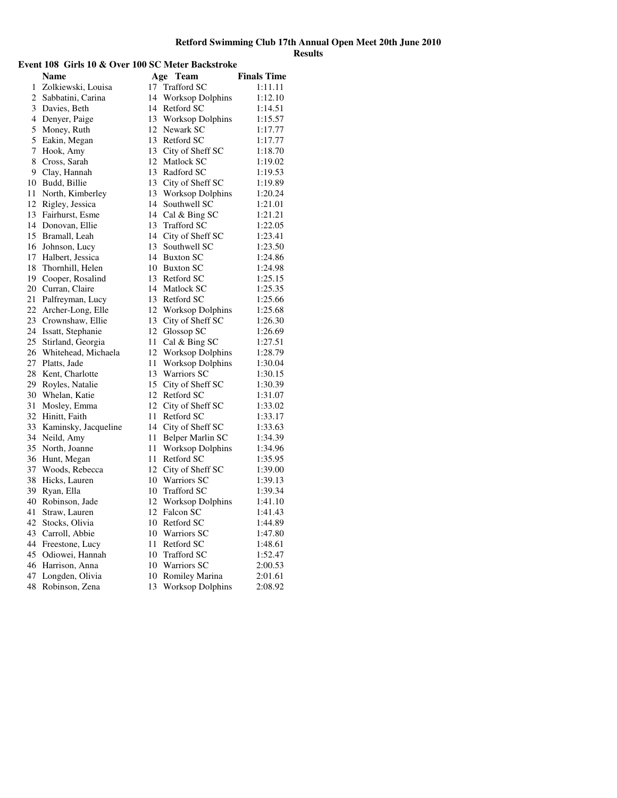# **Event 108 Girls 10 & Over 100 SC Meter Backstroke**

|    | Name                 |    | Age<br><b>Team</b>      | <b>Finals Time</b> |
|----|----------------------|----|-------------------------|--------------------|
| 1  | Zolkiewski, Louisa   | 17 | Trafford SC             | 1:11.11            |
| 2  | Sabbatini, Carina    | 14 | <b>Worksop Dolphins</b> | 1:12.10            |
| 3  | Davies, Beth         | 14 | Retford SC              | 1:14.51            |
| 4  | Denyer, Paige        |    | 13 Worksop Dolphins     | 1:15.57            |
| 5  | Money, Ruth          |    | 12 Newark SC            | 1:17.77            |
| 5  | Eakin, Megan         |    | 13 Retford SC           | 1:17.77            |
| 7  | Hook, Amy            |    | 13 City of Sheff SC     | 1:18.70            |
| 8  | Cross, Sarah         |    | 12 Matlock SC           | 1:19.02            |
| 9  | Clay, Hannah         |    | 13 Radford SC           | 1:19.53            |
| 10 | Budd, Billie         | 13 | City of Sheff SC        | 1:19.89            |
| 11 | North, Kimberley     | 13 | <b>Worksop Dolphins</b> | 1:20.24            |
| 12 | Rigley, Jessica      | 14 | Southwell SC            | 1:21.01            |
| 13 | Fairhurst, Esme      | 14 | Cal & Bing SC           | 1:21.21            |
| 14 | Donovan, Ellie       | 13 | <b>Trafford SC</b>      | 1:22.05            |
| 15 | Bramall, Leah        |    | 14 City of Sheff SC     | 1:23.41            |
| 16 | Johnson, Lucy        | 13 | Southwell SC            | 1:23.50            |
| 17 | Halbert, Jessica     |    | 14 Buxton SC            | 1:24.86            |
| 18 | Thornhill, Helen     |    | 10 Buxton SC            | 1:24.98            |
| 19 | Cooper, Rosalind     |    | 13 Retford SC           | 1:25.15            |
| 20 | Curran, Claire       |    | 14 Matlock SC           | 1:25.35            |
| 21 | Palfreyman, Lucy     |    | 13 Retford SC           | 1:25.66            |
| 22 | Archer-Long, Elle    | 12 | <b>Worksop Dolphins</b> | 1:25.68            |
| 23 | Crownshaw, Ellie     |    | 13 City of Sheff SC     | 1:26.30            |
| 24 | Issatt, Stephanie    | 12 | Glossop SC              | 1:26.69            |
| 25 | Stirland, Georgia    | 11 | Cal & Bing SC           | 1:27.51            |
| 26 | Whitehead, Michaela  | 12 | Worksop Dolphins        | 1:28.79            |
| 27 | Platts, Jade         | 11 | <b>Worksop Dolphins</b> | 1:30.04            |
| 28 | Kent, Charlotte      | 13 | Warriors SC             | 1:30.15            |
| 29 | Royles, Natalie      |    | 15 City of Sheff SC     | 1:30.39            |
| 30 | Whelan, Katie        |    | 12 Retford SC           | 1:31.07            |
| 31 | Mosley, Emma         | 12 | City of Sheff SC        | 1:33.02            |
| 32 | Hinitt, Faith        | 11 | Retford SC              | 1:33.17            |
| 33 | Kaminsky, Jacqueline | 14 | City of Sheff SC        | 1:33.63            |
| 34 | Neild, Amy           | 11 | Belper Marlin SC        | 1:34.39            |
| 35 | North, Joanne        | 11 | <b>Worksop Dolphins</b> | 1:34.96            |
| 36 | Hunt, Megan          | 11 | Retford SC              | 1:35.95            |
| 37 | Woods, Rebecca       | 12 | City of Sheff SC        | 1:39.00            |
| 38 | Hicks, Lauren        |    | 10 Warriors SC          | 1:39.13            |
| 39 | Ryan, Ella           |    | 10 Trafford SC          | 1:39.34            |
| 40 | Robinson, Jade       |    | 12 Worksop Dolphins     | 1:41.10            |
| 41 | Straw, Lauren        |    | 12 Falcon SC            | 1:41.43            |
| 42 | Stocks, Olivia       |    | 10 Retford SC           | 1:44.89            |
| 43 | Carroll, Abbie       |    | 10 Warriors SC          | 1:47.80            |
| 44 | Freestone, Lucy      |    | 11 Retford SC           | 1:48.61            |
| 45 | Odiowei, Hannah      |    | 10 Trafford SC          | 1:52.47            |
| 46 | Harrison, Anna       |    | 10 Warriors SC          | 2:00.53            |
| 47 | Longden, Olivia      | 10 | Romiley Marina          | 2:01.61            |
| 48 | Robinson, Zena       | 13 | <b>Worksop Dolphins</b> | 2:08.92            |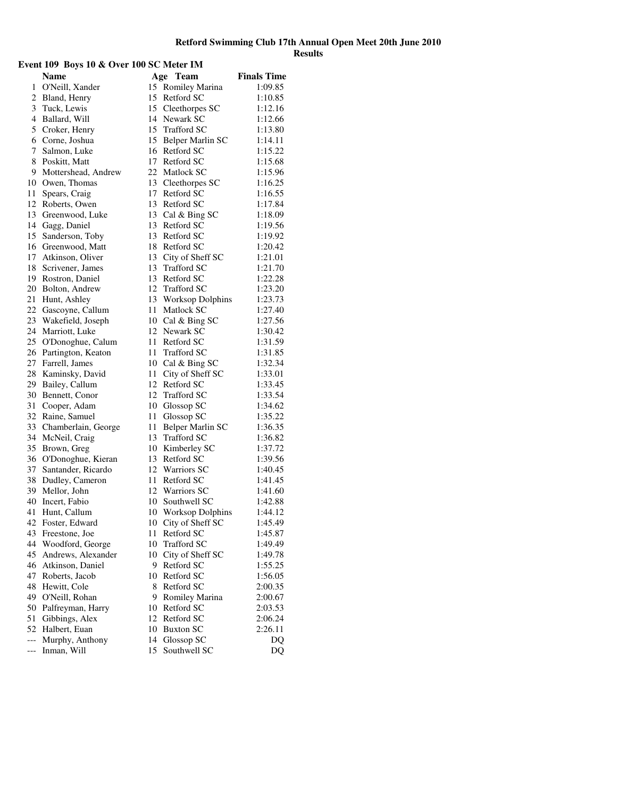| Event 109 Boys 10 & Over 100 SC Meter IM |                        |    |                         |                    |
|------------------------------------------|------------------------|----|-------------------------|--------------------|
|                                          | <b>Name</b>            |    | Age Team                | <b>Finals Time</b> |
| 1                                        | O'Neill, Xander        |    | 15 Romiley Marina       | 1:09.85            |
|                                          | 2 Bland, Henry         |    | 15 Retford SC           | 1:10.85            |
|                                          | 3 Tuck, Lewis          |    | 15 Cleethorpes SC       | 1:12.16            |
|                                          | 4 Ballard, Will        |    | 14 Newark SC            | 1:12.66            |
|                                          | 5 Croker, Henry        |    | 15 Trafford SC          | 1:13.80            |
|                                          | 6 Corne, Joshua        |    | 15 Belper Marlin SC     | 1:14.11            |
| 7                                        | Salmon, Luke           |    | 16 Retford SC           | 1:15.22            |
|                                          | 8 Poskitt, Matt        |    | 17 Retford SC           | 1:15.68            |
|                                          | 9 Mottershead, Andrew  |    | 22 Matlock SC           | 1:15.96            |
|                                          | 10 Owen, Thomas        |    | 13 Cleethorpes SC       | 1:16.25            |
|                                          | 11 Spears, Craig       |    | 17 Retford SC           | 1:16.55            |
|                                          | 12 Roberts, Owen       |    | 13 Retford SC           | 1:17.84            |
|                                          | 13 Greenwood, Luke     |    | 13 Cal & Bing SC        | 1:18.09            |
|                                          | 14 Gagg, Daniel        |    | 13 Retford SC           | 1:19.56            |
|                                          | 15 Sanderson, Toby     |    | 13 Retford SC           | 1:19.92            |
|                                          | 16 Greenwood, Matt     |    | 18 Retford SC           | 1:20.42            |
|                                          | 17 Atkinson, Oliver    |    | 13 City of Sheff SC     | 1:21.01            |
|                                          | 18 Scrivener, James    |    | 13 Trafford SC          | 1:21.70            |
|                                          | 19 Rostron, Daniel     |    | 13 Retford SC           | 1:22.28            |
|                                          | 20 Bolton, Andrew      |    | 12 Trafford SC          | 1:23.20            |
|                                          | 21 Hunt, Ashley        | 13 | <b>Worksop Dolphins</b> | 1:23.73            |
|                                          | 22 Gascoyne, Callum    |    | 11 Matlock SC           | 1:27.40            |
|                                          | 23 Wakefield, Joseph   |    | 10 Cal & Bing SC        | 1:27.56            |
|                                          | 24 Marriott, Luke      |    | 12 Newark SC            | 1:30.42            |
|                                          | 25 O'Donoghue, Calum   |    | 11 Retford SC           | 1:31.59            |
|                                          | 26 Partington, Keaton  |    | 11 Trafford SC          | 1:31.85            |
|                                          | 27 Farrell, James      |    | 10 Cal & Bing SC        | 1:32.34            |
|                                          | 28 Kaminsky, David     |    | 11 City of Sheff SC     | 1:33.01            |
|                                          | 29 Bailey, Callum      |    | 12 Retford SC           | 1:33.45            |
|                                          | 30 Bennett, Conor      |    | 12 Trafford SC          | 1:33.54            |
|                                          | 31 Cooper, Adam        |    | 10 Glossop SC           | 1:34.62            |
|                                          | 32 Raine, Samuel       | 11 | Glossop SC              | 1:35.22            |
|                                          | 33 Chamberlain, George | 11 | Belper Marlin SC        | 1:36.35            |
|                                          | 34 McNeil, Craig       | 13 | <b>Trafford SC</b>      | 1:36.82            |
|                                          | 35 Brown, Greg         |    | 10 Kimberley SC         | 1:37.72            |
|                                          | 36 O'Donoghue, Kieran  |    | 13 Retford SC           | 1:39.56            |
|                                          | 37 Santander, Ricardo  |    | 12 Warriors SC          | 1:40.45            |
|                                          | 38 Dudley, Cameron     |    | 11 Retford SC           | 1:41.45            |
|                                          | 39 Mellor, John        |    | 12 Warriors SC          | 1:41.60            |
|                                          | 40 Incert, Fabio       | 10 | Southwell SC            | 1:42.88            |
| 41                                       | Hunt, Callum           | 10 | <b>Worksop Dolphins</b> | 1:44.12            |
| 42                                       | Foster, Edward         | 10 | City of Sheff SC        | 1:45.49            |
|                                          | 43 Freestone, Joe      | 11 | Retford SC              | 1:45.87            |
|                                          | 44 Woodford, George    |    | 10 Trafford SC          | 1:49.49            |
| 45                                       | Andrews, Alexander     | 10 | City of Sheff SC        | 1:49.78            |
|                                          | 46 Atkinson, Daniel    | 9  | Retford SC              | 1:55.25            |
| 47                                       | Roberts, Jacob         | 10 | Retford SC              | 1:56.05            |
| 48                                       | Hewitt, Cole           | 8  | Retford SC              | 2:00.35            |
|                                          | 49 O'Neill, Rohan      | 9  | Romiley Marina          | 2:00.67            |
| 50                                       | Palfreyman, Harry      |    | 10 Retford SC           | 2:03.53            |
| 51                                       | Gibbings, Alex         |    | 12 Retford SC           | 2:06.24            |
| 52                                       | Halbert, Euan          |    | 10 Buxton SC            | 2:26.11            |
| $\overline{a}$                           | Murphy, Anthony        | 14 | Glossop SC              | DQ                 |
| $---$                                    | Inman, Will            | 15 | Southwell SC            | DQ                 |
|                                          |                        |    |                         |                    |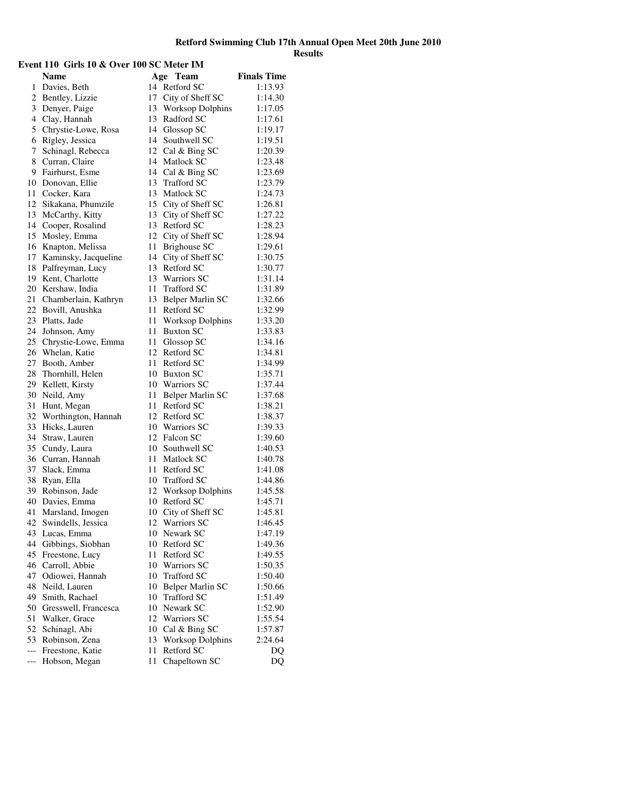| Event 110 Girls 10 & Over 100 SC Meter IM |                         |      |                         |                    |
|-------------------------------------------|-------------------------|------|-------------------------|--------------------|
|                                           | <b>Name</b>             |      | Age Team                | <b>Finals Time</b> |
| 1                                         | Davies, Beth            |      | 14 Retford SC           | 1:13.93            |
|                                           | 2 Bentley, Lizzie       |      | 17 City of Sheff SC     | 1:14.30            |
|                                           | 3 Denyer, Paige         |      | 13 Worksop Dolphins     | 1:17.05            |
|                                           | 4 Clay, Hannah          |      | 13 Radford SC           | 1:17.61            |
|                                           | 5 Chrystie-Lowe, Rosa   |      | 14 Glossop SC           | 1:19.17            |
|                                           | 6 Rigley, Jessica       |      | 14 Southwell SC         | 1:19.51            |
|                                           | 7 Schinagl, Rebecca     |      | 12 Cal & Bing SC        | 1:20.39            |
|                                           | 8 Curran, Claire        |      | 14 Matlock SC           | 1:23.48            |
|                                           | 9 Fairhurst, Esme       |      | 14 Cal & Bing SC        | 1:23.69            |
|                                           | 10 Donovan, Ellie       |      | 13 Trafford SC          | 1:23.79            |
|                                           | 11 Cocker, Kara         | 13   | Matlock SC              | 1:24.73            |
|                                           | 12 Sikakana, Phumzile   |      | 15 City of Sheff SC     | 1:26.81            |
|                                           | 13 McCarthy, Kitty      |      | 13 City of Sheff SC     | 1:27.22            |
|                                           | 14 Cooper, Rosalind     |      | 13 Retford SC           | 1:28.23            |
|                                           | 15 Mosley, Emma         |      | 12 City of Sheff SC     | 1:28.94            |
|                                           | 16 Knapton, Melissa     | 11   | <b>Brighouse SC</b>     | 1:29.61            |
|                                           | 17 Kaminsky, Jacqueline | 14   | City of Sheff SC        | 1:30.75            |
|                                           | 18 Palfreyman, Lucy     |      | 13 Retford SC           | 1:30.77            |
|                                           | 19 Kent, Charlotte      |      | 13 Warriors SC          | 1:31.14            |
|                                           | 20 Kershaw, India       |      | 11 Trafford SC          | 1:31.89            |
|                                           | 21 Chamberlain, Kathryn | 13   | Belper Marlin SC        | 1:32.66            |
|                                           | 22 Bovill, Anushka      |      | 11 Retford SC           | 1:32.99            |
|                                           | 23 Platts, Jade         | 11   | <b>Worksop Dolphins</b> | 1:33.20            |
|                                           | 24 Johnson, Amy         | 11   | <b>Buxton SC</b>        | 1:33.83            |
|                                           | 25 Chrystie-Lowe, Emma  | 11 - | Glossop SC              | 1:34.16            |
|                                           | 26 Whelan, Katie        |      | 12 Retford SC           | 1:34.81            |
|                                           | 27 Booth, Amber         |      | 11 Retford SC           | 1:34.99            |
|                                           | 28 Thornhill, Helen     |      | 10 Buxton SC            | 1:35.71            |
|                                           | 29 Kellett, Kirsty      |      | 10 Warriors SC          | 1:37.44            |
|                                           | 30 Neild, Amy           | 11 - | Belper Marlin SC        | 1:37.68            |
|                                           | 31 Hunt, Megan          |      | 11 Retford SC           | 1:38.21            |
|                                           | 32 Worthington, Hannah  |      | 12 Retford SC           | 1:38.37            |
|                                           | 33 Hicks, Lauren        |      | 10 Warriors SC          | 1:39.33            |
|                                           | 34 Straw, Lauren        |      | 12 Falcon SC            | 1:39.60            |
|                                           | 35 Cundy, Laura         |      | 10 Southwell SC         | 1:40.53            |
|                                           | 36 Curran, Hannah       |      | 11 Matlock SC           | 1:40.78            |
|                                           | 37 Slack, Emma          |      | 11 Retford SC           | 1:41.08            |
|                                           | 38 Ryan, Ella           |      | 10 Trafford SC          | 1:44.86            |
|                                           | 39 Robinson, Jade       |      | 12 Worksop Dolphins     | 1:45.58            |
|                                           | 40 Davies, Emma         | 10   | Retford SC              | 1:45.71            |
| 41                                        | Marsland, Imogen        | 10   | City of Sheff SC        | 1:45.81            |
| 42                                        | Swindells, Jessica      | 12   | Warriors SC             | 1:46.45            |
| 43                                        | Lucas, Emma             |      | 10 Newark SC            | 1:47.19            |
| 44                                        | Gibbings, Siobhan       |      | 10 Retford SC           | 1:49.36            |
| 45                                        | Freestone, Lucy         | 11   | Retford SC              | 1:49.55            |
| 46                                        | Carroll, Abbie          |      | 10 Warriors SC          | 1:50.35            |
| 47                                        | Odiowei, Hannah         | 10   | <b>Trafford SC</b>      | 1:50.40            |
| 48                                        | Neild, Lauren           | 10   | Belper Marlin SC        | 1:50.66            |
| 49                                        | Smith, Rachael          | 10   | <b>Trafford SC</b>      | 1:51.49            |
|                                           | 50 Gresswell, Francesca |      | 10 Newark SC            | 1:52.90            |
| 51                                        | Walker, Grace           |      | 12 Warriors SC          | 1:55.54            |
| 52                                        | Schinagl, Abi           |      | 10 Cal & Bing SC        | 1:57.87            |
| 53                                        | Robinson, Zena          | 13   | <b>Worksop Dolphins</b> | 2:24.64            |
| $---$                                     | Freestone, Katie        | 11   | Retford SC              | DQ                 |
| ---                                       | Hobson, Megan           | 11   | Chapeltown SC           | DQ                 |
|                                           |                         |      |                         |                    |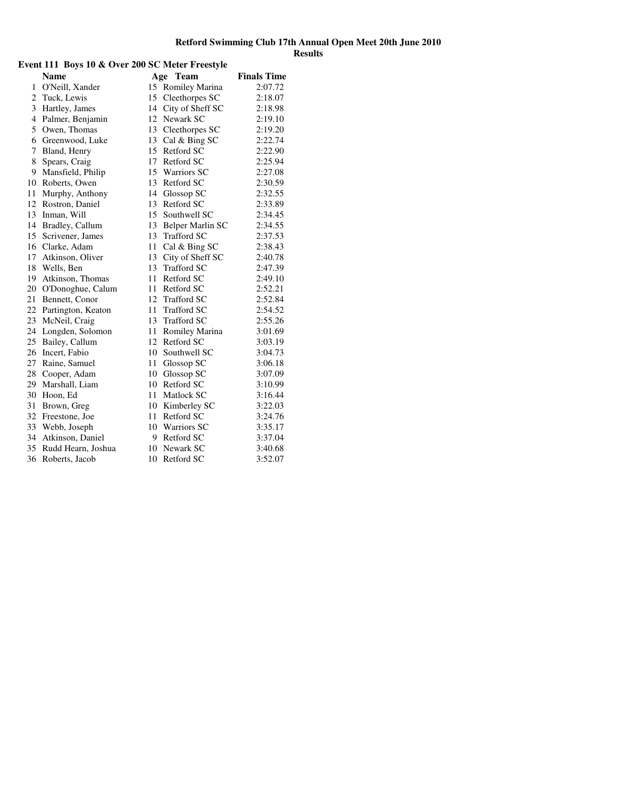| Event 111 Boys 10 & Over 200 SC Meter Freestyle |                       |    |                    |                    |
|-------------------------------------------------|-----------------------|----|--------------------|--------------------|
|                                                 | <b>Name</b>           |    | Age Team           | <b>Finals Time</b> |
|                                                 | 1 O'Neill, Xander     |    | 15 Romiley Marina  | 2:07.72            |
|                                                 | 2 Tuck, Lewis         | 15 | Cleethorpes SC     | 2:18.07            |
|                                                 | 3 Hartley, James      | 14 | City of Sheff SC   | 2:18.98            |
|                                                 | 4 Palmer, Benjamin    | 12 | Newark SC          | 2:19.10            |
|                                                 | 5 Owen, Thomas        |    | 13 Cleethorpes SC  | 2:19.20            |
|                                                 | 6 Greenwood, Luke     | 13 | Cal & Bing SC      | 2:22.74            |
| 7                                               | Bland, Henry          | 15 | Retford SC         | 2:22.90            |
| 8                                               | Spears, Craig         | 17 | Retford SC         | 2:25.94            |
| 9                                               | Mansfield, Philip     | 15 | <b>Warriors SC</b> | 2:27.08            |
|                                                 | 10 Roberts, Owen      | 13 | Retford SC         | 2:30.59            |
|                                                 | 11 Murphy, Anthony    | 14 | Glossop SC         | 2:32.55            |
|                                                 | 12 Rostron, Daniel    | 13 | Retford SC         | 2:33.89            |
|                                                 | 13 Inman, Will        | 15 | Southwell SC       | 2:34.45            |
|                                                 | 14 Bradley, Callum    | 13 | Belper Marlin SC   | 2:34.55            |
|                                                 | 15 Scrivener, James   | 13 | <b>Trafford SC</b> | 2:37.53            |
|                                                 | 16 Clarke, Adam       | 11 | Cal & Bing SC      | 2:38.43            |
|                                                 | 17 Atkinson, Oliver   | 13 | City of Sheff SC   | 2:40.78            |
|                                                 | 18 Wells, Ben         | 13 | <b>Trafford SC</b> | 2:47.39            |
|                                                 | 19 Atkinson, Thomas   | 11 | Retford SC         | 2:49.10            |
|                                                 | 20 O'Donoghue, Calum  | 11 | Retford SC         | 2:52.21            |
|                                                 | 21 Bennett, Conor     |    | 12 Trafford SC     | 2:52.84            |
|                                                 | 22 Partington, Keaton | 11 | <b>Trafford SC</b> | 2:54.52            |
|                                                 | 23 McNeil, Craig      | 13 | <b>Trafford SC</b> | 2:55.26            |
|                                                 | 24 Longden, Solomon   | 11 | Romiley Marina     | 3:01.69            |
|                                                 | 25 Bailey, Callum     | 12 | Retford SC         | 3:03.19            |
|                                                 | 26 Incert, Fabio      |    | 10 Southwell SC    | 3:04.73            |
|                                                 | 27 Raine, Samuel      | 11 | Glossop SC         | 3:06.18            |
|                                                 | 28 Cooper, Adam       | 10 | Glossop SC         | 3:07.09            |
|                                                 | 29 Marshall, Liam     | 10 | Retford SC         | 3:10.99            |
|                                                 | 30 Hoon, Ed           | 11 | Matlock SC         | 3:16.44            |
| 31                                              | Brown, Greg           |    | 10 Kimberley SC    | 3:22.03            |
|                                                 | 32 Freestone, Joe     | 11 | Retford SC         | 3:24.76            |
|                                                 | 33 Webb, Joseph       |    | 10 Warriors SC     | 3:35.17            |
|                                                 | 34 Atkinson, Daniel   | 9  | Retford SC         | 3:37.04            |
|                                                 | 35 Rudd Hearn, Joshua | 10 | Newark SC          | 3:40.68            |
|                                                 | 36 Roberts, Jacob     | 10 | Retford SC         | 3:52.07            |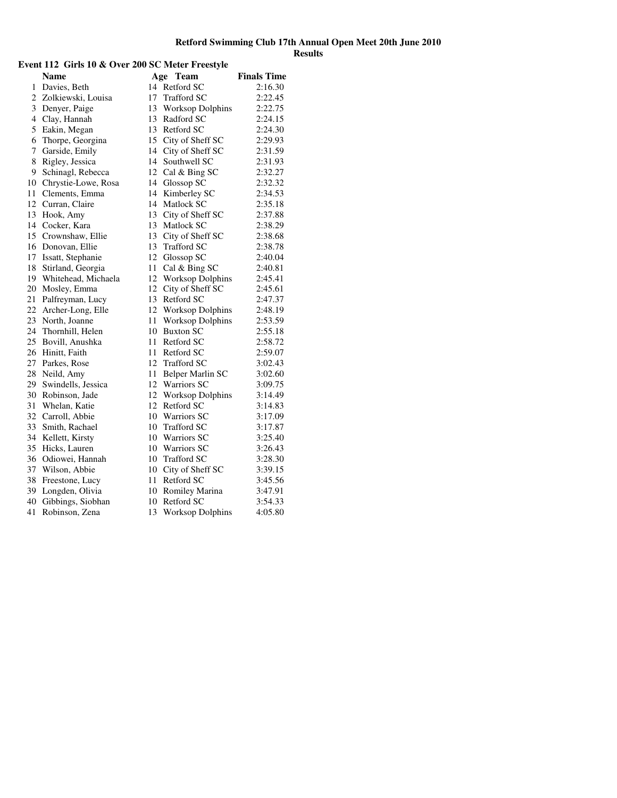#### **Event 112 Girls 10 & Over 200 SC Meter Freestyle Name Age Team Finals Time** 1 Davies, Beth 14 Retford SC 2:16.30 2 Zolkiewski, Louisa 17 Trafford SC 2:22.45<br>3 Denyer, Paige 13 Worksop Dolphins 2:22.75 3 Denyer, Paige 13 Worksop Dolphins 2:22.75 4 Clay, Hannah 13 Radford SC 2:24.15 5 Eakin, Megan 13 Retford SC 2:24.30 6 Thorpe, Georgina 15 City of Sheff SC 2:29.93 7 Garside, Emily 14 City of Sheff SC 2:31.59 8 Rigley, Jessica 14 Southwell SC 2:31.93 9 Schinagl, Rebecca 12 Cal & Bing SC 2:32.27 10 Chrystie-Lowe, Rosa 14 Glossop SC 2:32.32 11 Clements, Emma 14 Kimberley SC 2:34.53 12 Curran, Claire 14 Matlock SC 2:35.18 13 Hook, Amy 13 City of Sheff SC 2:37.88 14 Cocker, Kara 13 Matlock SC 2:38.29 15 Crownshaw, Ellie 13 City of Sheff SC 2:38.68<br>16 Donovan, Ellie 13 Trafford SC 2:38.78 16 Donovan, Ellie 13 Trafford SC 2:38.78 17 Issatt, Stephanie 12 Glossop SC 2:40.04<br>18 Stirland, Georgia 11 Cal & Bing SC 2:40.81 18 Stirland, Georgia 11 Cal & Bing SC 2:40.81<br>19 Whitehead, Michaela 12 Worksop Dolphins 2:45.41 19 Whitehead, Michaela 12 Worksop Dolphins 2:45.41<br>20 Mosley, Emma 12 City of Sheff SC 2:45.61 12 City of Sheff SC 2:45.61<br>13 Retford SC 2:47.37 21 Palfreyman, Lucy 13 Retford SC 2:47.37 22 Archer-Long, Elle 12 Worksop Dolphins 2:48.19 23 North, Joanne 11 Worksop Dolphins 2:53.59 24 Thornhill, Helen 10 Buxton SC 2:55.18 25 Bovill, Anushka 11 Retford SC 2:58.72 26 Hinitt, Faith 11 Retford SC 2:59.07 27 Parkes, Rose 12 Trafford SC 3:02.43 28 Neild, Amy 11 Belper Marlin SC 3:02.60 29 Swindells, Jessica 12 Warriors SC 3:09.75<br>30 Robinson, Jade 12 Worksop Dolphins 3:14.49 12 Worksop Dolphins 3:14.49<br>12 Retford SC 3:14.83 31 Whelan, Katie 12 Retford SC 3:14.83<br>32 Carroll, Abbie 10 Warriors SC 3:17.09 32 Carroll, Abbie 10 Warriors SC 3:17.09<br>33 Smith, Rachael 10 Trafford SC 3:17.87 33 Smith, Rachael 10 Trafford SC 3:17.87<br>34 Kellett, Kirsty 10 Warriors SC 3:25.40 34 Kellett, Kirsty 10 Warriors SC 3:25.40<br>35 Hicks, Lauren 10 Warriors SC 3:26.43 35 Hicks, Lauren 10 Warriors SC 3:26.43 36 Odiowei, Hannah 10 Trafford SC 3:28.30 37 Wilson, Abbie 10 City of Sheff SC 3:39.15 38 Freestone, Lucy 11 Retford SC 3:45.56 39 Longden, Olivia 10 Romiley Marina 3:47.91 40 Gibbings, Siobhan 10 Retford SC 3:54.33 41 Robinson, Zena 13 Worksop Dolphins 4:05.80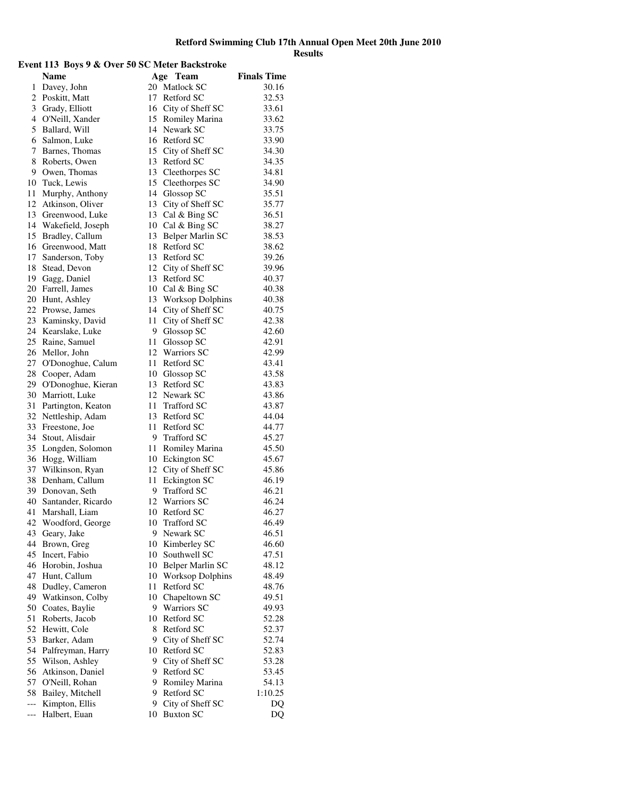#### **Event 113 Boys 9 & Over 50 SC Meter Backstroke Name Age Team Finals Time** 1 Davey, John 20 Matlock SC 30.16 2 Poskitt, Matt 17 Retford SC 32.53 3 Grady, Elliott 16 City of Sheff SC 33.61<br>4 O'Neill, Xander 15 Romiley Marina 33.62 4 O'Neill, Xander 15 Romiley Marina 33.62 5 Ballard, Will 14 Newark SC 33.75 6 Salmon, Luke 16 Retford SC 33.90 7 Barnes, Thomas 15 City of Sheff SC 34.30 8 Roberts, Owen 13 Retford SC 34.35 9 Owen, Thomas 13 Cleethorpes SC 34.81 10 Tuck, Lewis 15 Cleethorpes SC 34.90 11 Murphy, Anthony 14 Glossop SC 35.51 12 Atkinson, Oliver 13 City of Sheff SC 35.77 13 Greenwood, Luke 13 Cal & Bing SC 36.51 14 Wakefield, Joseph 10 Cal & Bing SC 38.27 15 Bradley, Callum 13 Belper Marlin SC 38.53 16 Greenwood, Matt 18 Retford SC 38.62<br>17 Sanderson. Toby 13 Retford SC 39.26 17 Sanderson, Toby 13 Retford SC 39.26 18 Stead, Devon 12 City of Sheff SC 39.96<br>19 Gagg, Daniel 13 Retford SC 40.37 19 Gagg, Daniel 13 Retford SC 40.37<br>
20 Farrell, James 10 Cal & Bing SC 40.38 20 Farrell, James 10 Cal & Bing SC 40.38<br>20 Hunt, Ashley 13 Worksop Dolphins 40.38 20 Hunt, Ashley 13 Worksop Dolphins 40.38 22 Prowse, James 14 City of Sheff SC 40.75 23 Kaminsky, David 11 City of Sheff SC 42.38 24 Kearslake, Luke 9 Glossop SC 42.60 25 Raine, Samuel 11 Glossop SC 42.91 26 Mellor, John 12 Warriors SC 42.99 27 O'Donoghue, Calum 11 Retford SC 43.41 28 Cooper, Adam 10 Glossop SC 43.58 29 O'Donoghue, Kieran 13 Retford SC 43.83 30 Marriott, Luke 12 Newark SC 43.86<br>31 Partington, Keaton 11 Trafford SC 43.87 31 Partington, Keaton 11 Trafford SC 43.87<br>32 Nettleship, Adam 13 Retford SC 44.04 32 Nettleship, Adam 13 Retford SC 44.04<br>33 Freestone, Joe 11 Retford SC 44.77 33 Freestone, Joe<br>34 Stout, Alisdair 34 Stout, Alisdair 9 Trafford SC 45.27<br>35 Longden, Solomon 11 Romiley Marina 45.50 35 Longden, Solomon 11 Romiley Marina 45.50 36 Hogg, William 10 Eckington SC 45.67 37 Wilkinson, Ryan 12 City of Sheff SC 45.86 38 Denham, Callum 11 Eckington SC 46.19 39 Donovan, Seth 9 Trafford SC 46.21 40 Santander, Ricardo 12 Warriors SC 46.24 41 Marshall, Liam 10 Retford SC 46.27 42 Woodford, George 10 Trafford SC 46.49 43 Geary, Jake 9 Newark SC 46.51 44 Brown, Greg 10 Kimberley SC 46.60 45 Incert, Fabio 10 Southwell SC 47.51 46 Horobin, Joshua 10 Belper Marlin SC 48.12<br>47 Hunt, Callum 10 Worksop Dolphins 48.49 47 Hunt, Callum 10 Worksop Dolphins 48.49<br>48 Dudley, Cameron 11 Retford SC 48.76 48 Dudley, Cameron 11 Retford SC 48.76<br>49 Watkinson, Colby 10 Chapeltown SC 49.51 Watkinson, Colby 10 Chapeltown SC 49.51<br>Coates, Baylie 9 Warriors SC 49.93 50 Coates, Baylie 9 Warriors SC 51 Roberts, Jacob 10 Retford SC 52.28 52 Hewitt, Cole 8 Retford SC 52.37 53 Barker, Adam 9 City of Sheff SC 52.74 54 Palfreyman, Harry 10 Retford SC 52.83 55 Wilson, Ashley 9 City of Sheff SC 53.28 56 Atkinson, Daniel 9 Retford SC 53.45<br>57 O'Neill, Rohan 9 Romilev Marina 54.13 57 O'Neill, Rohan 9 Romiley Marina 54.13<br>58 Bailey. Mitchell 9 Retford SC 1:10.25 58 Bailey, Mitchell 9 Retford SC 1:10.25<br>
--- Kimpton, Ellis 9 City of Sheff SC DO --- Kimpton, Ellis 9 City of Sheff SC DQ<br>--- Halbert, Euan 10 Buxton SC DQ --- Halbert, Euan 10 Buxton SC DQ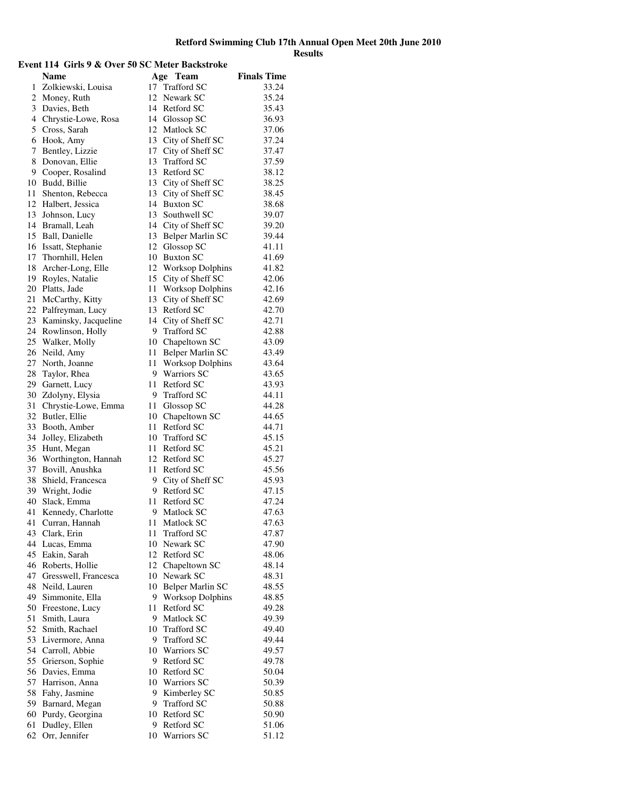#### **Event 114 Girls 9 & Over 50 SC Meter Backstroke Name Age Team Finals Time** 1 Zolkiewski, Louisa 17 Trafford SC 33.24 2 Money, Ruth 12 Newark SC 35.24 3 Davies, Beth 14 Retford SC 35.43 4 Chrystie-Lowe, Rosa 14 Glossop SC 36.93 5 Cross, Sarah 12 Matlock SC 37.06 6 Hook, Amy 13 City of Sheff SC 37.24 7 Bentley, Lizzie 17 City of Sheff SC 37.47 8 Donovan, Ellie 13 Trafford SC 37.59 9 Cooper, Rosalind 13 Retford SC 38.12 10 Budd, Billie 13 City of Sheff SC 38.25 11 Shenton, Rebecca 13 City of Sheff SC 38.45 12 Halbert, Jessica 14 Buxton SC 38.68 13 Johnson, Lucy 13 Southwell SC 39.07 14 Bramall, Leah 14 City of Sheff SC 39.20 15 Ball, Danielle 13 Belper Marlin SC 39.44 16 Issatt, Stephanie 12 Glossop SC 41.11 17 Thornhill, Helen 10 Buxton SC 41.69 18 Archer-Long, Elle 12 Worksop Dolphins 41.82 19 Royles, Natalie 15 City of Sheff SC 42.06<br>20 Platts, Jade 11 Worksop Dolphins 42.16 20 Platts, Jade 11 Worksop Dolphins 42.16 21 McCarthy, Kitty 13 City of Sheff SC 42.69 22 Palfreyman, Lucy 13 Retford SC 42.70 23 Kaminsky, Jacqueline 14 City of Sheff SC 42.71 24 Rowlinson, Holly 9 Trafford SC 42.88 25 Walker, Molly 10 Chapeltown SC 43.09 26 Neild, Amy 11 Belper Marlin SC 43.49 27 North, Joanne 11 Worksop Dolphins 43.64 28 Taylor, Rhea 9 Warriors SC 43.65 29 Garnett, Lucy 11 Retford SC 43.93 30 Zdolyny, Elysia 9 Trafford SC 44.11 31 Chrystie-Lowe, Emma 11 Glossop SC 44.28<br>32 Butler, Ellie 10 Chapeltown SC 44.65 32 Butler, Ellie 10 Chapeltown SC 44.65<br>33 Booth, Amber 11 Retford SC 44.71 33 Booth, Amber 11 Retford SC 44.71<br>34 Jollev. Elizabeth 10 Trafford SC 45.15 34 Jolley, Elizabeth 10 Trafford SC 45.15<br>35 Hunt. Megan 11 Retford SC 45.21 35 Hunt, Megan 11 Retford SC 45.21 36 Worthington, Hannah 12 Retford SC 45.27 37 Bovill, Anushka 11 Retford SC 45.56 38 Shield, Francesca 9 City of Sheff SC 45.93 39 Wright, Jodie 9 Retford SC 47.15 40 Slack, Emma 11 Retford SC 47.24 41 Kennedy, Charlotte 9 Matlock SC 47.63 41 Curran, Hannah 11 Matlock SC 47.63 43 Clark, Erin 11 Trafford SC 47.87 44 Lucas, Emma 10 Newark SC 47.90 45 Eakin, Sarah 12 Retford SC 48.06 46 Roberts, Hollie 12 Chapeltown SC 48.14<br>47 Gresswell, Francesca 10 Newark SC 48.31 Gresswell, Francesca 10 Newark SC 48.31<br>Neild, Lauren 10 Belper Marlin SC 48.55 48 Neild, Lauren 10 Belper Marlin SC 48.55<br>49 Simmonite, Ella 9 Worksop Dolphins 48.85 9 Worksop Dolphins 48.85 50 Freestone, Lucy 11 Retford SC 49.28 51 Smith, Laura 9 Matlock SC 49.39 52 Smith, Rachael 10 Trafford SC 49.40 53 Livermore, Anna 9 Trafford SC 49.44 54 Carroll, Abbie 10 Warriors SC 49.57 55 Grierson, Sophie 9 Retford SC 49.78 56 Davies, Emma 10 Retford SC 50.04 57 Harrison, Anna 10 Warriors SC 50.39 58 Fahy, Jasmine 9 Kimberley SC 50.85<br>59 Barnard, Megan 9 Trafford SC 50.88 59 Barnard, Megan 9 Trafford SC 50.88 60 Purdy, Georgina 10 Retford SC 50.90<br>61 Dudlev, Ellen 9 Retford SC 51.06 61 Dudley, Ellen 9 Retford SC 51.06 62 Orr, Jennifer 10 Warriors SC 51.12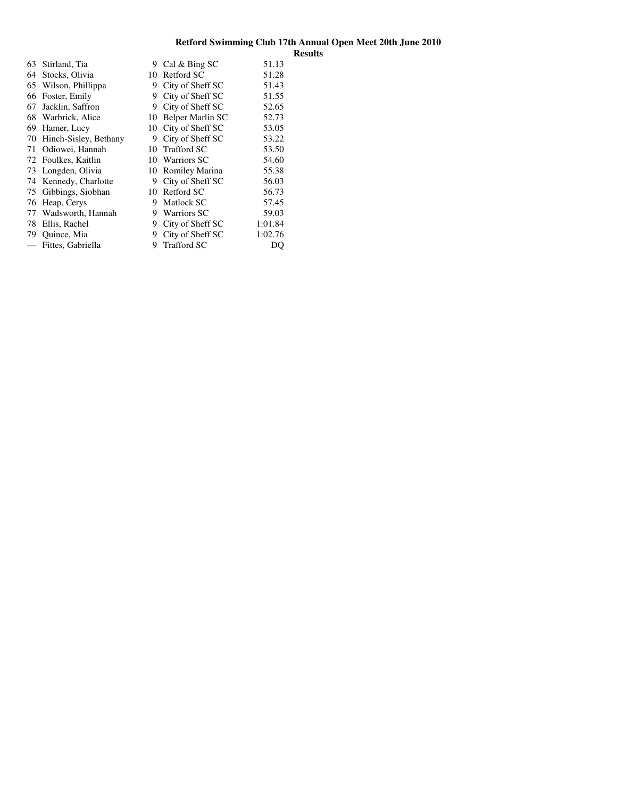| 63 | Stirland, Tia         | 9  | Cal & Bing SC         | 51.13   |
|----|-----------------------|----|-----------------------|---------|
| 64 | Stocks, Olivia        | 10 | Retford SC            | 51.28   |
| 65 | Wilson, Phillippa     | 9  | City of Sheff SC      | 51.43   |
| 66 | Foster, Emily         | 9  | City of Sheff SC      | 51.55   |
| 67 | Jacklin, Saffron      | 9  | City of Sheff SC      | 52.65   |
| 68 | Warbrick, Alice       | 10 | Belper Marlin SC      | 52.73   |
| 69 | Hamer, Lucy           | 10 | City of Sheff SC      | 53.05   |
| 70 | Hinch-Sisley, Bethany | 9  | City of Sheff SC      | 53.22   |
| 71 | Odiowei, Hannah       | 10 | <b>Trafford SC</b>    | 53.50   |
|    | 72 Foulkes, Kaitlin   | 10 | <b>Warriors SC</b>    | 54.60   |
| 73 | Longden, Olivia       | 10 | <b>Romiley Marina</b> | 55.38   |
| 74 | Kennedy, Charlotte    | 9  | City of Sheff SC      | 56.03   |
| 75 | Gibbings, Siobhan     | 10 | Retford SC            | 56.73   |
| 76 | Heap, Cerys           | 9  | Matlock SC            | 57.45   |
| 77 | Wadsworth, Hannah     | 9  | Warriors SC           | 59.03   |
| 78 | Ellis, Rachel         | 9  | City of Sheff SC      | 1:01.84 |
| 79 | Quince, Mia           | 9  | City of Sheff SC      | 1:02.76 |
|    | Fittes, Gabriella     | 9  | <b>Trafford SC</b>    | DO      |
|    |                       |    |                       |         |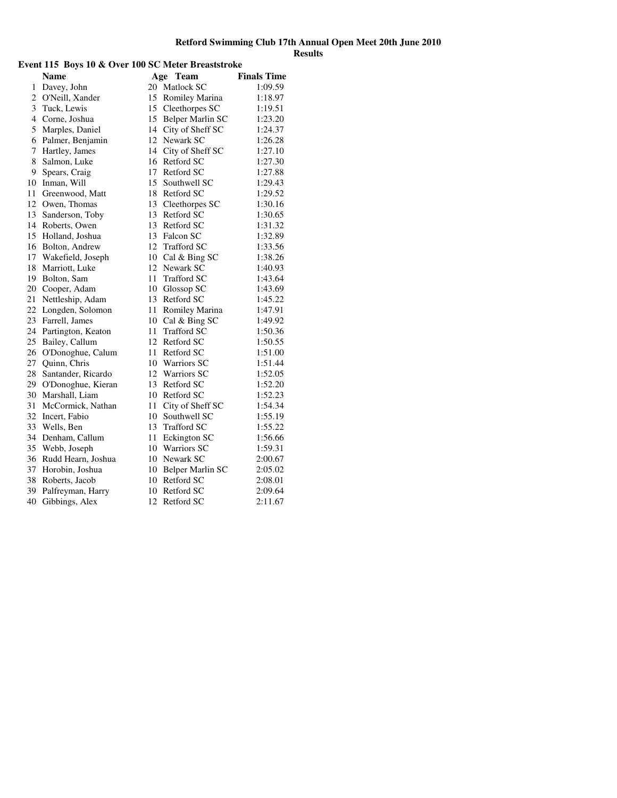# **Event 115 Boys 10 & Over 100 SC Meter Breaststroke**

|                | Name               |    | Age Team            | <b>Finals Time</b> |
|----------------|--------------------|----|---------------------|--------------------|
| 1              | Davey, John        |    | 20 Matlock SC       | 1:09.59            |
| $\overline{c}$ | O'Neill, Xander    |    | 15 Romiley Marina   | 1:18.97            |
| 3              | Tuck, Lewis        |    | 15 Cleethorpes SC   | 1:19.51            |
| $\overline{4}$ | Corne, Joshua      |    | 15 Belper Marlin SC | 1:23.20            |
| 5              | Marples, Daniel    |    | 14 City of Sheff SC | 1:24.37            |
| 6              | Palmer, Benjamin   |    | 12 Newark SC        | 1:26.28            |
| 7              | Hartley, James     |    | 14 City of Sheff SC | 1:27.10            |
| 8              | Salmon, Luke       |    | 16 Retford SC       | 1:27.30            |
| 9              | Spears, Craig      |    | 17 Retford SC       | 1:27.88            |
| 10             | Inman, Will        |    | 15 Southwell SC     | 1:29.43            |
| 11             | Greenwood, Matt    |    | 18 Retford SC       | 1:29.52            |
| 12             | Owen, Thomas       |    | 13 Cleethorpes SC   | 1:30.16            |
| 13             | Sanderson, Toby    |    | 13 Retford SC       | 1:30.65            |
| 14             | Roberts, Owen      |    | 13 Retford SC       | 1:31.32            |
| 15             | Holland, Joshua    |    | 13 Falcon SC        | 1:32.89            |
| 16             | Bolton, Andrew     |    | 12 Trafford SC      | 1:33.56            |
| 17             | Wakefield, Joseph  |    | 10 Cal & Bing SC    | 1:38.26            |
| 18             | Marriott, Luke     |    | 12 Newark SC        | 1:40.93            |
| 19             | Bolton, Sam        | 11 | <b>Trafford SC</b>  | 1:43.64            |
| 20             | Cooper, Adam       |    | 10 Glossop SC       | 1:43.69            |
| 21             | Nettleship, Adam   |    | 13 Retford SC       | 1:45.22            |
| 22             | Longden, Solomon   |    | 11 Romiley Marina   | 1:47.91            |
| 23             | Farrell, James     |    | 10 Cal & Bing SC    | 1:49.92            |
| 24             | Partington, Keaton | 11 | Trafford SC         | 1:50.36            |
| 25             | Bailey, Callum     |    | 12 Retford SC       | 1:50.55            |
| 26             | O'Donoghue, Calum  |    | 11 Retford SC       | 1:51.00            |
| 27             | Quinn, Chris       |    | 10 Warriors SC      | 1:51.44            |
| 28             | Santander, Ricardo |    | 12 Warriors SC      | 1:52.05            |
| 29             | O'Donoghue, Kieran |    | 13 Retford SC       | 1:52.20            |
| 30             | Marshall, Liam     |    | 10 Retford SC       | 1:52.23            |
| 31             | McCormick, Nathan  | 11 | City of Sheff SC    | 1:54.34            |
| 32             | Incert, Fabio      |    | 10 Southwell SC     | 1:55.19            |
| 33             | Wells, Ben         |    | 13 Trafford SC      | 1:55.22            |
| 34             | Denham, Callum     |    | 11 Eckington SC     | 1:56.66            |
| 35             | Webb, Joseph       |    | 10 Warriors SC      | 1:59.31            |
| 36             | Rudd Hearn, Joshua |    | 10 Newark SC        | 2:00.67            |
| 37             | Horobin, Joshua    |    | 10 Belper Marlin SC | 2:05.02            |
| 38             | Roberts, Jacob     |    | 10 Retford SC       | 2:08.01            |
| 39             | Palfreyman, Harry  | 10 | Retford SC          | 2:09.64            |
| 40             | Gibbings, Alex     | 12 | Retford SC          | 2:11.67            |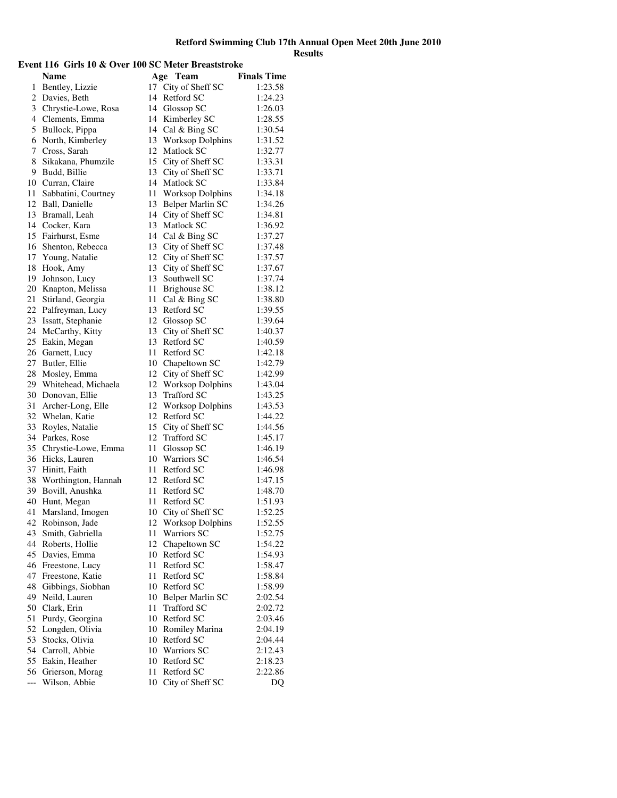## **Event 116 Girls 10 & Over 100 SC Meter Breaststroke Name Age Team Finals Time** 1 Bentley, Lizzie 17 City of Sheff SC 1:23.58 2 Davies, Beth 14 Retford SC 1:24.23 3 Chrystie-Lowe, Rosa 14 Glossop SC 1:26.03 4 Clements, Emma 14 Kimberley SC 1:28.55 5 Bullock, Pippa 14 Cal & Bing SC 1:30.54 6 North, Kimberley 13 Worksop Dolphins 1:31.52 7 Cross, Sarah 12 Matlock SC 1:32.77 8 Sikakana, Phumzile 15 City of Sheff SC 1:33.31 9 Budd, Billie 13 City of Sheff SC 1:33.71 10 Curran, Claire 14 Matlock SC 1:33.84 11 Sabbatini, Courtney 11 Worksop Dolphins 1:34.18 12 Ball, Danielle 13 Belper Marlin SC 1:34.26 13 Bramall, Leah 14 City of Sheff SC 1:34.81 14 Cocker, Kara 13 Matlock SC 1:36.92 15 Fairhurst, Esme 14 Cal & Bing SC 1:37.27 16 Shenton, Rebecca 13 City of Sheff SC 1:37.48 17 Young, Natalie 12 City of Sheff SC 1:37.57 18 Hook, Amy 13 City of Sheff SC 1:37.67<br>19 Johnson, Lucy 13 Southwell SC 1:37.74 19 Johnson, Lucy 13 Southwell SC 1:37.74<br>20 Knapton, Melissa 11 Brighouse SC 1:38.12 20 Knapton, Melissa 11 Brighouse SC 1:38.12<br>21 Stirland, Georgia 11 Cal & Bing SC 1:38.80 21 Stirland, Georgia 11 Cal & Bing SC 1:38.80 22 Palfreyman, Lucy 13 Retford SC 1:39.55 23 Issatt, Stephanie 12 Glossop SC 1:39.64 24 McCarthy, Kitty 13 City of Sheff SC 1:40.37 25 Eakin, Megan 13 Retford SC 1:40.59 26 Garnett, Lucy 11 Retford SC 1:42.18 27 Butler, Ellie 10 Chapeltown SC 1:42.79 28 Mosley, Emma 12 City of Sheff SC 1:42.99 29 Whitehead, Michaela 12 Worksop Dolphins 1:43.04<br>30 Donovan, Ellie 13 Trafford SC 1:43.25 30 Donovan, Ellie 13 Trafford SC 1:43.25<br>31 Archer-Long, Elle 12 Worksop Dolphins 1:43.53 31 Archer-Long, Elle 12 Worksop Dolphins 1:43.53<br>32 Whelan, Katie 12 Retford SC 1:44.22 32 Whelan, Katie 12 Retford SC 1:44.22<br>33 Royles, Natalie 15 City of Sheff SC 1:44.56 33 Royles, Natalie 15 City of Sheff SC 1:44.56<br>34 Parkes, Rose 12 Trafford SC 1:45.17 34 Parkes, Rose 12 Trafford SC 1:45.17<br>35 Chrystie-Lowe, Emma 11 Glossop SC 1:46.19 35 Chrystie-Lowe, Emma 11 Glossop SC 1:46.19 36 Hicks, Lauren 10 Warriors SC 1:46.54 37 Hinitt, Faith 11 Retford SC 1:46.98 38 Worthington, Hannah 12 Retford SC 1:47.15 39 Bovill, Anushka 11 Retford SC 1:48.70 40 Hunt, Megan 11 Retford SC 1:51.93 41 Marsland, Imogen 10 City of Sheff SC 1:52.25 42 Robinson, Jade 12 Worksop Dolphins 1:52.55 43 Smith, Gabriella 11 Warriors SC 1:52.75 44 Roberts, Hollie 12 Chapeltown SC 1:54.22 45 Davies, Emma 10 Retford SC 1:54.93 46 Freestone, Lucy 11 Retford SC 1:58.47<br>47 Freestone, Katie 11 Retford SC 1:58.84 Freestone, Katie 11 Retford SC 1:58.84<br>
Gibbings. Siobhan 10 Retford SC 1:58.99 48 Gibbings, Siobhan 10 Retford SC 1:58.99<br>
49 Neild, Lauren 10 Belper Marlin SC 2:02.54 10 Belper Marlin SC 50 Clark, Erin 11 Trafford SC 2:02.72

51 Purdy, Georgina 10 Retford SC 2:03.46 52 Longden, Olivia 10 Romiley Marina 2:04.19 53 Stocks, Olivia 10 Retford SC 2:04.44 54 Carroll, Abbie 10 Warriors SC 2:12.43 55 Eakin, Heather 10 Retford SC 2:18.23 56 Grierson, Morag 11 Retford SC 2:22.86 --- Wilson, Abbie 10 City of Sheff SC DQ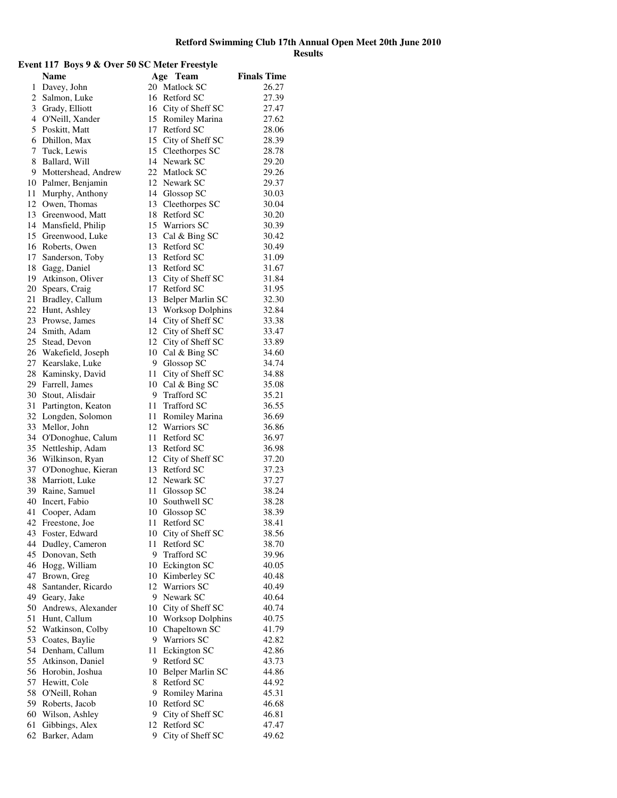| Event 117 Boys 9 & Over 50 SC Meter Freestyle |                                  |     |                                |                    |  |
|-----------------------------------------------|----------------------------------|-----|--------------------------------|--------------------|--|
|                                               | <b>Name</b>                      |     | Age Team                       | <b>Finals Time</b> |  |
|                                               | 1 Davey, John                    |     | 20 Matlock SC                  | 26.27              |  |
| 2                                             | Salmon, Luke                     |     | 16 Retford SC                  | 27.39              |  |
|                                               | 3 Grady, Elliott                 |     | 16 City of Sheff SC            | 27.47              |  |
|                                               | 4 O'Neill, Xander                | 15  | Romiley Marina                 | 27.62              |  |
| 5                                             | Poskitt, Matt                    | 17  | Retford SC                     | 28.06              |  |
| 6                                             | Dhillon, Max                     |     | 15 City of Sheff SC            | 28.39              |  |
| 7                                             | Tuck, Lewis                      |     | 15 Cleethorpes SC              | 28.78              |  |
| 8                                             | Ballard, Will                    | 14  | Newark SC                      | 29.20              |  |
| 9                                             | Mottershead, Andrew              |     | 22 Matlock SC                  | 29.26              |  |
|                                               | 10 Palmer, Benjamin              |     | 12 Newark SC                   | 29.37              |  |
| 11                                            | Murphy, Anthony                  |     | 14 Glossop SC                  | 30.03              |  |
| 12                                            | Owen, Thomas                     | 13  | Cleethorpes SC                 | 30.04              |  |
| 13                                            | Greenwood, Matt                  | 18  | Retford SC                     | 30.20              |  |
| 14                                            | Mansfield, Philip                |     | 15 Warriors SC                 | 30.39              |  |
| 15                                            |                                  |     |                                | 30.42              |  |
| 16                                            | Greenwood, Luke<br>Roberts, Owen | 13  | 13 Cal & Bing SC<br>Retford SC |                    |  |
|                                               |                                  |     |                                | 30.49              |  |
| 17                                            | Sanderson, Toby                  | 13  | Retford SC                     | 31.09              |  |
| 18                                            | Gagg, Daniel                     | 13  | Retford SC                     | 31.67              |  |
| 19                                            | Atkinson, Oliver                 | 13  | City of Sheff SC               | 31.84              |  |
| 20                                            | Spears, Craig                    | 17  | Retford SC                     | 31.95              |  |
| 21                                            | Bradley, Callum                  | 13  | Belper Marlin SC               | 32.30              |  |
| 22                                            | Hunt, Ashley                     | 13  | <b>Worksop Dolphins</b>        | 32.84              |  |
| 23                                            | Prowse, James                    |     | 14 City of Sheff SC            | 33.38              |  |
| 24                                            | Smith, Adam                      |     | 12 City of Sheff SC            | 33.47              |  |
| 25                                            | Stead, Devon                     |     | 12 City of Sheff SC            | 33.89              |  |
| 26                                            | Wakefield, Joseph                | 10  | Cal & Bing SC                  | 34.60              |  |
| 27                                            | Kearslake, Luke                  |     | 9 Glossop SC                   | 34.74              |  |
| 28                                            | Kaminsky, David                  | 11  | City of Sheff SC               | 34.88              |  |
|                                               | 29 Farrell, James                | 10  | Cal & Bing SC                  | 35.08              |  |
| 30                                            | Stout, Alisdair                  | 9   | <b>Trafford SC</b>             | 35.21              |  |
| 31                                            | Partington, Keaton               | 11  | <b>Trafford SC</b>             | 36.55              |  |
| 32                                            | Longden, Solomon                 | 11  | Romiley Marina                 | 36.69              |  |
| 33                                            | Mellor, John                     | 12  | <b>Warriors SC</b>             | 36.86              |  |
| 34                                            | O'Donoghue, Calum                | 11  | Retford SC                     | 36.97              |  |
| 35                                            | Nettleship, Adam                 | 13  | Retford SC                     | 36.98              |  |
| 36                                            | Wilkinson, Ryan                  | 12  | City of Sheff SC               | 37.20              |  |
| 37                                            | O'Donoghue, Kieran               | 13  | Retford SC                     | 37.23              |  |
| 38                                            | Marriott, Luke                   | 12  | Newark SC                      | 37.27              |  |
| 39                                            | Raine, Samuel                    | 11  | Glossop SC                     | 38.24              |  |
|                                               | 40 Incert, Fabio                 | 10  | Southwell SC                   | 38.28              |  |
|                                               | 41 Cooper, Adam                  |     | 10 Glossop SC                  | 38.39              |  |
| 42                                            | Freestone, Joe                   | 11. | Retford SC                     | 38.41              |  |
| 43                                            | Foster, Edward                   |     | 10 City of Sheff SC            | 38.56              |  |
| 44                                            | Dudley, Cameron                  | 11  | Retford SC                     | 38.70              |  |
| 45                                            | Donovan, Seth                    | 9.  | <b>Trafford SC</b>             | 39.96              |  |
| 46                                            | Hogg, William                    |     | 10 Eckington SC                | 40.05              |  |
| 47                                            | Brown, Greg                      |     | 10 Kimberley SC                | 40.48              |  |
| 48                                            | Santander, Ricardo               |     | 12 Warriors SC                 | 40.49              |  |
| 49                                            | Geary, Jake                      | 9.  | Newark SC                      | 40.64              |  |
| 50                                            | Andrews, Alexander               | 10  | City of Sheff SC               | 40.74              |  |
| 51                                            | Hunt, Callum                     | 10  | <b>Worksop Dolphins</b>        | 40.75              |  |
| 52                                            | Watkinson, Colby                 | 10  | Chapeltown SC                  | 41.79              |  |
| 53                                            | Coates, Baylie                   | 9   | <b>Warriors SC</b>             | 42.82              |  |
| 54                                            | Denham, Callum                   | 11  | Eckington SC                   | 42.86              |  |
| 55                                            | Atkinson, Daniel                 | 9.  | Retford SC                     | 43.73              |  |
| 56                                            | Horobin, Joshua                  | 10  |                                |                    |  |
| 57                                            |                                  | 8   | Belper Marlin SC<br>Retford SC | 44.86              |  |
| 58                                            | Hewitt, Cole                     | 9   |                                | 44.92<br>45.31     |  |
|                                               | O'Neill, Rohan                   |     | Romiley Marina<br>Retford SC   |                    |  |
| 59                                            | Roberts, Jacob                   | 10  |                                | 46.68              |  |
| 60                                            | Wilson, Ashley                   |     | 9 City of Sheff SC             | 46.81              |  |
| 61                                            | Gibbings, Alex                   | 12  | Retford SC                     | 47.47              |  |
| 62                                            | Barker, Adam                     | 9   | City of Sheff SC               | 49.62              |  |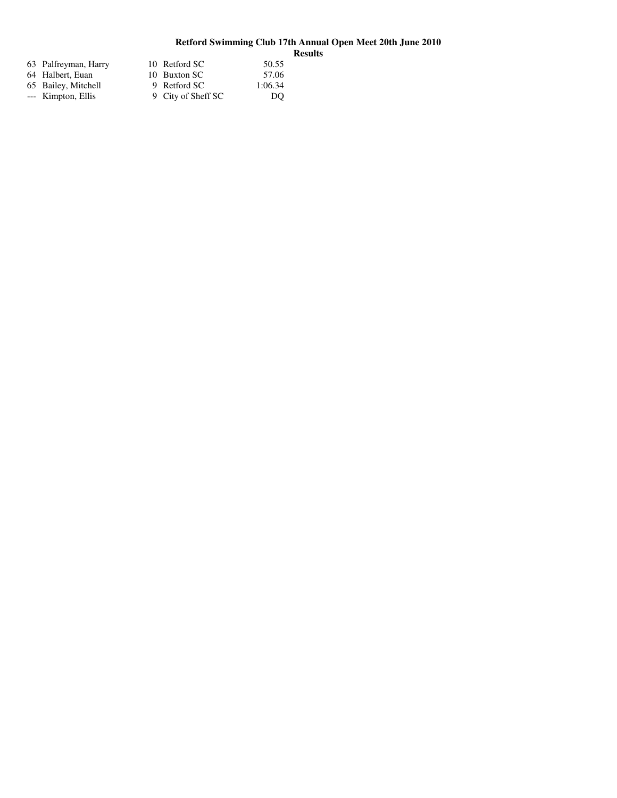| 63 Palfreyman, Harry | 10 Retford SC      | 50.55   |
|----------------------|--------------------|---------|
| 64 Halbert, Euan     | 10 Buxton SC       | 57.06   |
| 65 Bailey, Mitchell  | 9 Retford SC       | 1:06.34 |
| --- Kimpton, Ellis   | 9 City of Sheff SC | DO      |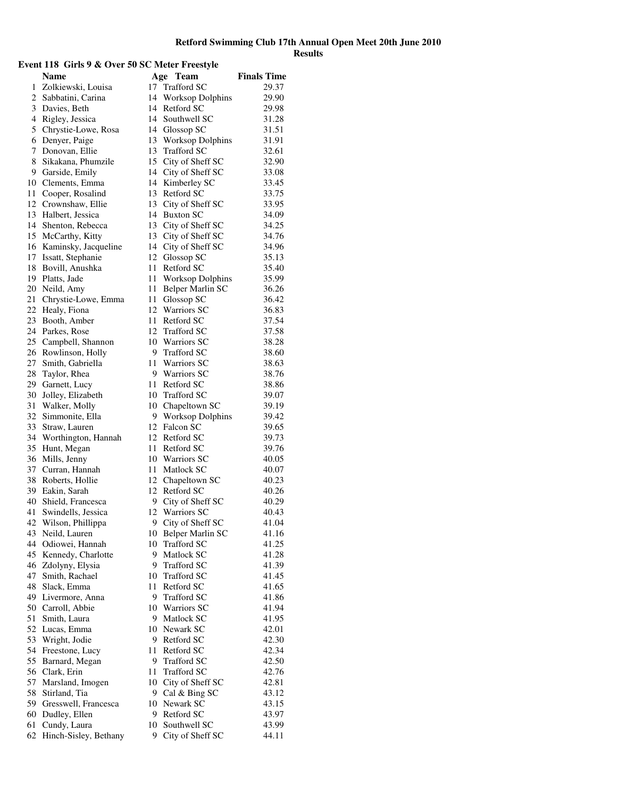# **Event 118 Girls 9 & Over 50 SC Meter Freestyle**

|    | <b>Name</b>           | Age | Team                    | <b>Finals Time</b> |
|----|-----------------------|-----|-------------------------|--------------------|
| 1  | Zolkiewski, Louisa    |     | 17 Trafford SC          | 29.37              |
| 2  | Sabbatini, Carina     | 14  | <b>Worksop Dolphins</b> | 29.90              |
| 3  | Davies, Beth          |     | 14 Retford SC           | 29.98              |
| 4  | Rigley, Jessica       | 14  | Southwell SC            | 31.28              |
| 5  | Chrystie-Lowe, Rosa   |     | 14 Glossop SC           | 31.51              |
| 6  | Denyer, Paige         |     | 13 Worksop Dolphins     | 31.91              |
| 7  | Donovan, Ellie        |     | 13 Trafford SC          | 32.61              |
| 8  | Sikakana, Phumzile    |     | 15 City of Sheff SC     | 32.90              |
| 9  | Garside, Emily        |     | 14 City of Sheff SC     | 33.08              |
| 10 | Clements, Emma        |     | 14 Kimberley SC         | 33.45              |
| 11 | Cooper, Rosalind      |     | 13 Retford SC           | 33.75              |
| 12 | Crownshaw, Ellie      |     | 13 City of Sheff SC     | 33.95              |
| 13 | Halbert, Jessica      |     | 14 Buxton SC            | 34.09              |
| 14 | Shenton, Rebecca      |     | 13 City of Sheff SC     | 34.25              |
| 15 | McCarthy, Kitty       |     | 13 City of Sheff SC     | 34.76              |
| 16 | Kaminsky, Jacqueline  |     | 14 City of Sheff SC     | 34.96              |
| 17 | Issatt, Stephanie     |     | 12 Glossop SC           | 35.13              |
| 18 | Bovill, Anushka       |     | 11 Retford SC           | 35.40              |
| 19 | Platts, Jade          | 11  | Worksop Dolphins        | 35.99              |
| 20 | Neild, Amy            | 11  | Belper Marlin SC        | 36.26              |
| 21 | Chrystie-Lowe, Emma   |     | 11 Glossop SC           | 36.42              |
| 22 | Healy, Fiona          |     | 12 Warriors SC          | 36.83              |
| 23 | Booth, Amber          |     | 11 Retford SC           | 37.54              |
| 24 | Parkes, Rose          |     | 12 Trafford SC          | 37.58              |
| 25 | Campbell, Shannon     |     | 10 Warriors SC          | 38.28              |
| 26 | Rowlinson, Holly      |     | 9 Trafford SC           | 38.60              |
| 27 | Smith, Gabriella      |     | 11 Warriors SC          | 38.63              |
| 28 | Taylor, Rhea          |     | 9 Warriors SC           | 38.76              |
| 29 | Garnett, Lucy         |     | 11 Retford SC           | 38.86              |
| 30 | Jolley, Elizabeth     |     | 10 Trafford SC          | 39.07              |
| 31 | Walker, Molly         |     | 10 Chapeltown SC        | 39.19              |
| 32 | Simmonite, Ella       |     | 9 Worksop Dolphins      | 39.42              |
| 33 | Straw, Lauren         |     | 12 Falcon SC            | 39.65              |
| 34 | Worthington, Hannah   |     | 12 Retford SC           | 39.73              |
| 35 | Hunt, Megan           |     | 11 Retford SC           | 39.76              |
| 36 | Mills, Jenny          |     | 10 Warriors SC          | 40.05              |
| 37 | Curran, Hannah        |     | 11 Matlock SC           | 40.07              |
| 38 | Roberts, Hollie       |     | 12 Chapeltown SC        | 40.23              |
| 39 | Eakin, Sarah          |     | 12 Retford SC           | 40.26              |
| 40 | Shield, Francesca     |     | 9 City of Sheff SC      | 40.29              |
| 41 | Swindells, Jessica    |     | 12 Warriors SC          | 40.43              |
| 42 | Wilson, Phillippa     |     | 9 City of Sheff SC      | 41.04              |
| 43 | Neild, Lauren         |     | 10 Belper Marlin SC     | 41.16              |
| 44 | Odiowei, Hannah       |     | 10 Trafford SC          | 41.25              |
| 45 | Kennedy, Charlotte    |     | 9 Matlock SC            | 41.28              |
| 46 | Zdolyny, Elysia       |     | 9 Trafford SC           | 41.39              |
| 47 | Smith, Rachael        |     | 10 Trafford SC          | 41.45              |
| 48 | Slack, Emma           |     | 11 Retford SC           | 41.65              |
| 49 | Livermore, Anna       |     | 9 Trafford SC           | 41.86              |
| 50 | Carroll, Abbie        |     | 10 Warriors SC          | 41.94              |
| 51 | Smith, Laura          |     | 9 Matlock SC            | 41.95              |
| 52 | Lucas, Emma           |     | 10 Newark SC            | 42.01              |
| 53 | Wright, Jodie         |     | 9 Retford SC            | 42.30              |
| 54 | Freestone, Lucy       |     | 11 Retford SC           | 42.34              |
| 55 | Barnard, Megan        |     | 9 Trafford SC           | 42.50              |
| 56 | Clark, Erin           | 11- | <b>Trafford SC</b>      | 42.76              |
| 57 | Marsland, Imogen      |     | 10 City of Sheff SC     | 42.81              |
| 58 | Stirland, Tia         |     | 9 Cal & Bing SC         | 43.12              |
| 59 | Gresswell, Francesca  |     | 10 Newark SC            | 43.15              |
| 60 | Dudley, Ellen         |     | 9 Retford SC            | 43.97              |
| 61 | Cundy, Laura          | 10  | Southwell SC            | 43.99              |
| 62 | Hinch-Sisley, Bethany | 9   | City of Sheff SC        | 44.11              |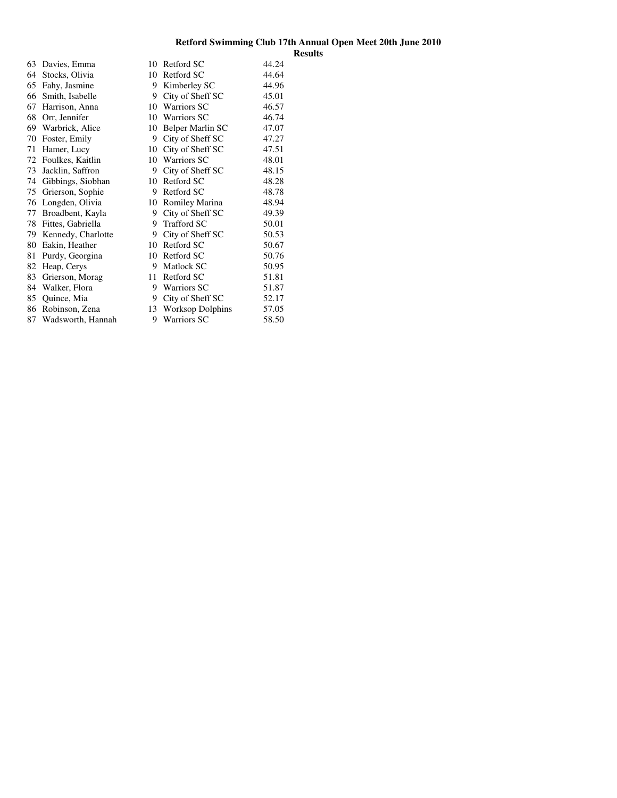| 63 | Davies, Emma       | 10 | Retford SC              | 44.24 |
|----|--------------------|----|-------------------------|-------|
| 64 | Stocks, Olivia     | 10 | Retford SC              | 44.64 |
| 65 | Fahy, Jasmine      | 9  | Kimberley SC            | 44.96 |
| 66 | Smith, Isabelle    | 9  | City of Sheff SC        | 45.01 |
| 67 | Harrison, Anna     | 10 | <b>Warriors SC</b>      | 46.57 |
| 68 | Orr, Jennifer      | 10 | <b>Warriors SC</b>      | 46.74 |
| 69 | Warbrick, Alice    | 10 | Belper Marlin SC        | 47.07 |
| 70 | Foster, Emily      | 9  | City of Sheff SC        | 47.27 |
| 71 | Hamer, Lucy        | 10 | City of Sheff SC        | 47.51 |
| 72 | Foulkes, Kaitlin   | 10 | <b>Warriors SC</b>      | 48.01 |
| 73 | Jacklin, Saffron   | 9  | City of Sheff SC        | 48.15 |
| 74 | Gibbings, Siobhan  | 10 | Retford SC              | 48.28 |
| 75 | Grierson, Sophie   | 9  | Retford SC              | 48.78 |
| 76 | Longden, Olivia    | 10 | Romiley Marina          | 48.94 |
| 77 | Broadbent, Kayla   | 9  | City of Sheff SC        | 49.39 |
| 78 | Fittes, Gabriella  | 9  | <b>Trafford SC</b>      | 50.01 |
| 79 | Kennedy, Charlotte | 9  | City of Sheff SC        | 50.53 |
| 80 | Eakin, Heather     | 10 | Retford SC              | 50.67 |
| 81 | Purdy, Georgina    | 10 | Retford SC              | 50.76 |
| 82 | Heap, Cerys        | 9  | Matlock SC              | 50.95 |
| 83 | Grierson, Morag    | 11 | Retford SC              | 51.81 |
| 84 | Walker, Flora      | 9  | Warriors SC             | 51.87 |
| 85 | Quince, Mia        | 9  | City of Sheff SC        | 52.17 |
| 86 | Robinson, Zena     | 13 | <b>Worksop Dolphins</b> | 57.05 |
| 87 | Wadsworth, Hannah  | 9  | <b>Warriors SC</b>      | 58.50 |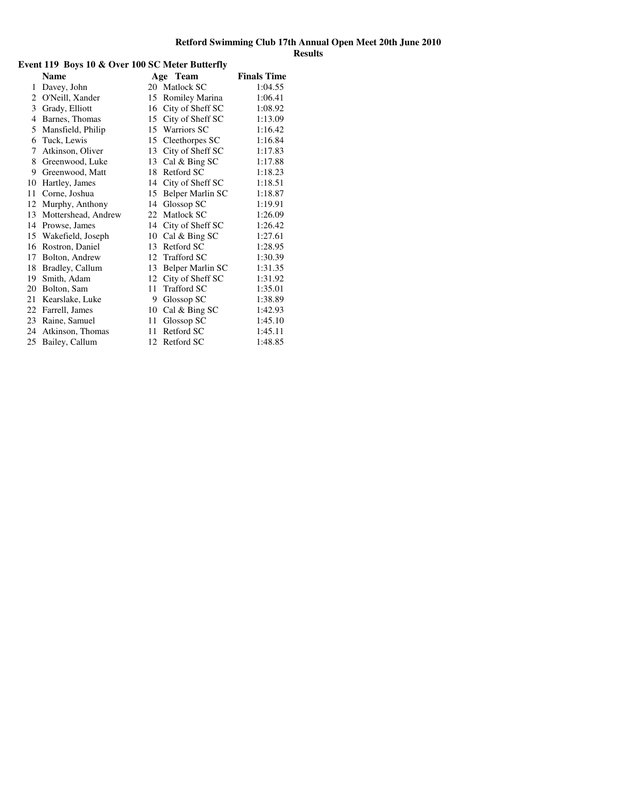# **Event 119 Boys 10 & Over 100 SC Meter Butterfly**

|    | <b>Name</b>         |    | Age Team           | <b>Finals Time</b> |
|----|---------------------|----|--------------------|--------------------|
| 1  | Davey, John         | 20 | Matlock SC         | 1:04.55            |
| 2  | O'Neill, Xander     | 15 | Romiley Marina     | 1:06.41            |
| 3  | Grady, Elliott      | 16 | City of Sheff SC   | 1:08.92            |
| 4  | Barnes, Thomas      | 15 | City of Sheff SC   | 1:13.09            |
| 5  | Mansfield, Philip   | 15 | Warriors SC        | 1:16.42            |
| 6  | Tuck, Lewis         | 15 | Cleethorpes SC     | 1:16.84            |
| 7  | Atkinson, Oliver    | 13 | City of Sheff SC   | 1:17.83            |
| 8  | Greenwood, Luke     | 13 | Cal & Bing SC      | 1:17.88            |
| 9  | Greenwood, Matt     | 18 | Retford SC         | 1:18.23            |
| 10 | Hartley, James      | 14 | City of Sheff SC   | 1:18.51            |
| 11 | Corne, Joshua       | 15 | Belper Marlin SC   | 1:18.87            |
| 12 | Murphy, Anthony     | 14 | Glossop SC         | 1:19.91            |
| 13 | Mottershead, Andrew | 22 | Matlock SC         | 1:26.09            |
| 14 | Prowse, James       | 14 | City of Sheff SC   | 1:26.42            |
| 15 | Wakefield, Joseph   | 10 | Cal & Bing SC      | 1:27.61            |
| 16 | Rostron, Daniel     | 13 | Retford SC         | 1:28.95            |
| 17 | Bolton, Andrew      | 12 | <b>Trafford SC</b> | 1:30.39            |
| 18 | Bradley, Callum     | 13 | Belper Marlin SC   | 1:31.35            |
| 19 | Smith, Adam         | 12 | City of Sheff SC   | 1:31.92            |
| 20 | Bolton, Sam         | 11 | Trafford SC        | 1:35.01            |
| 21 | Kearslake, Luke     | 9  | Glossop SC         | 1:38.89            |
| 22 | Farrell, James      | 10 | Cal & Bing SC      | 1:42.93            |
| 23 | Raine, Samuel       | 11 | Glossop SC         | 1:45.10            |
| 24 | Atkinson, Thomas    | 11 | Retford SC         | 1:45.11            |
| 25 | Bailey, Callum      | 12 | Retford SC         | 1:48.85            |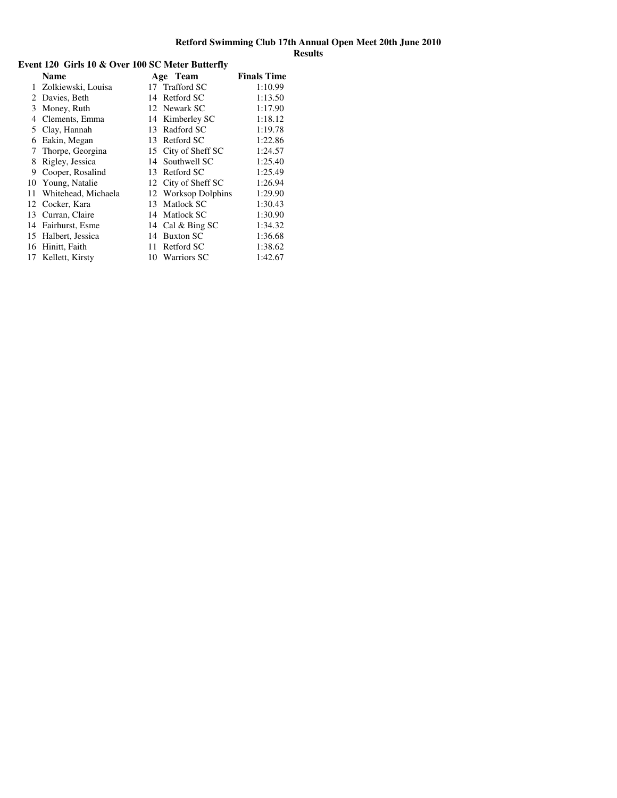|    | <b>Name</b>         |     | Age Team            | <b>Finals Time</b> |
|----|---------------------|-----|---------------------|--------------------|
| 1  | Zolkiewski, Louisa  |     | 17 Trafford SC      | 1:10.99            |
| 2  | Davies, Beth        |     | 14 Retford SC       | 1:13.50            |
| 3  | Money, Ruth         |     | 12 Newark SC        | 1:17.90            |
| 4  | Clements, Emma      |     | 14 Kimberley SC     | 1:18.12            |
| 5  | Clay, Hannah        | 13  | Radford SC          | 1:19.78            |
| 6  | Eakin, Megan        | 13  | Retford SC          | 1:22.86            |
| 7  | Thorpe, Georgina    |     | 15 City of Sheff SC | 1:24.57            |
| 8  | Rigley, Jessica     |     | 14 Southwell SC     | 1:25.40            |
| 9  | Cooper, Rosalind    | 13  | Retford SC          | 1:25.49            |
| 10 | Young, Natalie      |     | 12 City of Sheff SC | 1:26.94            |
| 11 | Whitehead, Michaela |     | 12 Worksop Dolphins | 1:29.90            |
| 12 | Cocker, Kara        | 13  | Matlock SC          | 1:30.43            |
| 13 | Curran, Claire      | 14  | Matlock SC          | 1:30.90            |
| 14 | Fairhurst, Esme     |     | 14 Cal & Bing SC    | 1:34.32            |
| 15 | Halbert, Jessica    | 14  | <b>Buxton SC</b>    | 1:36.68            |
| 16 | Hinitt, Faith       | 11  | Retford SC          | 1:38.62            |
| 17 | Kellett, Kirsty     | 10. | <b>Warriors SC</b>  | 1:42.67            |

# **Event 120 Girls 10 & Over 100 SC Meter Butterfly**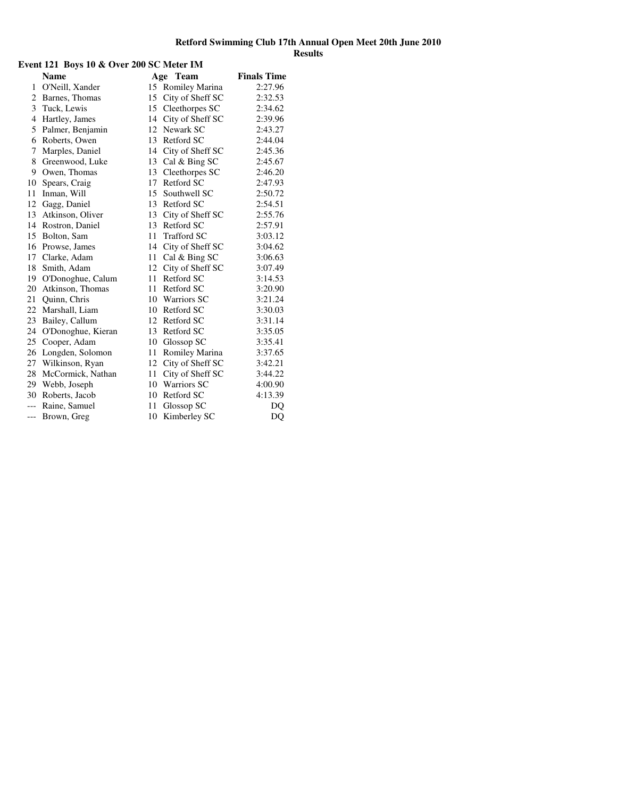|              | Event 121 Boys 10 & Over 200 SC Meter IM |    |                    |                    |  |  |
|--------------|------------------------------------------|----|--------------------|--------------------|--|--|
|              | <b>Name</b>                              |    | Age Team           | <b>Finals Time</b> |  |  |
| $\mathbf{1}$ | O'Neill, Xander                          | 15 | Romiley Marina     | 2:27.96            |  |  |
|              | 2 Barnes, Thomas                         | 15 | City of Sheff SC   | 2:32.53            |  |  |
|              | 3 Tuck, Lewis                            | 15 | Cleethorpes SC     | 2:34.62            |  |  |
|              | 4 Hartley, James                         | 14 | City of Sheff SC   | 2:39.96            |  |  |
|              | 5 Palmer, Benjamin                       | 12 | Newark SC          | 2:43.27            |  |  |
| 6            | Roberts, Owen                            | 13 | Retford SC         | 2:44.04            |  |  |
| 7            | Marples, Daniel                          | 14 | City of Sheff SC   | 2:45.36            |  |  |
| 8            | Greenwood, Luke                          | 13 | Cal & Bing SC      | 2:45.67            |  |  |
|              | 9 Owen, Thomas                           | 13 | Cleethorpes SC     | 2:46.20            |  |  |
|              | 10 Spears, Craig                         | 17 | Retford SC         | 2:47.93            |  |  |
|              | 11 Inman, Will                           | 15 | Southwell SC       | 2:50.72            |  |  |
|              | 12 Gagg, Daniel                          | 13 | Retford SC         | 2:54.51            |  |  |
|              | 13 Atkinson, Oliver                      | 13 | City of Sheff SC   | 2:55.76            |  |  |
|              | 14 Rostron, Daniel                       | 13 | Retford SC         | 2:57.91            |  |  |
|              | 15 Bolton, Sam                           | 11 | <b>Trafford SC</b> | 3:03.12            |  |  |
|              | 16 Prowse, James                         | 14 | City of Sheff SC   | 3:04.62            |  |  |
|              | 17 Clarke, Adam                          | 11 | Cal & Bing SC      | 3:06.63            |  |  |
|              | 18 Smith, Adam                           | 12 | City of Sheff SC   | 3:07.49            |  |  |
|              | 19 O'Donoghue, Calum                     | 11 | Retford SC         | 3:14.53            |  |  |
|              | 20 Atkinson, Thomas                      | 11 | Retford SC         | 3:20.90            |  |  |
|              | 21 Quinn, Chris                          | 10 | <b>Warriors SC</b> | 3:21.24            |  |  |
|              | 22 Marshall, Liam                        | 10 | Retford SC         | 3:30.03            |  |  |
|              | 23 Bailey, Callum                        |    | 12 Retford SC      | 3:31.14            |  |  |
| 24           | O'Donoghue, Kieran                       | 13 | Retford SC         | 3:35.05            |  |  |
| 25           | Cooper, Adam                             | 10 | Glossop SC         | 3:35.41            |  |  |
|              | 26 Longden, Solomon                      | 11 | Romiley Marina     | 3:37.65            |  |  |
|              | 27 Wilkinson, Ryan                       | 12 | City of Sheff SC   | 3:42.21            |  |  |
|              | 28 McCormick, Nathan                     | 11 | City of Sheff SC   | 3:44.22            |  |  |
|              | 29 Webb, Joseph                          | 10 | Warriors SC        | 4:00.90            |  |  |
|              | 30 Roberts, Jacob                        | 10 | Retford SC         | 4:13.39            |  |  |
|              | --- Raine, Samuel                        | 11 | Glossop SC         | DO                 |  |  |
|              | --- Brown, Greg                          | 10 | Kimberley SC       | DQ                 |  |  |